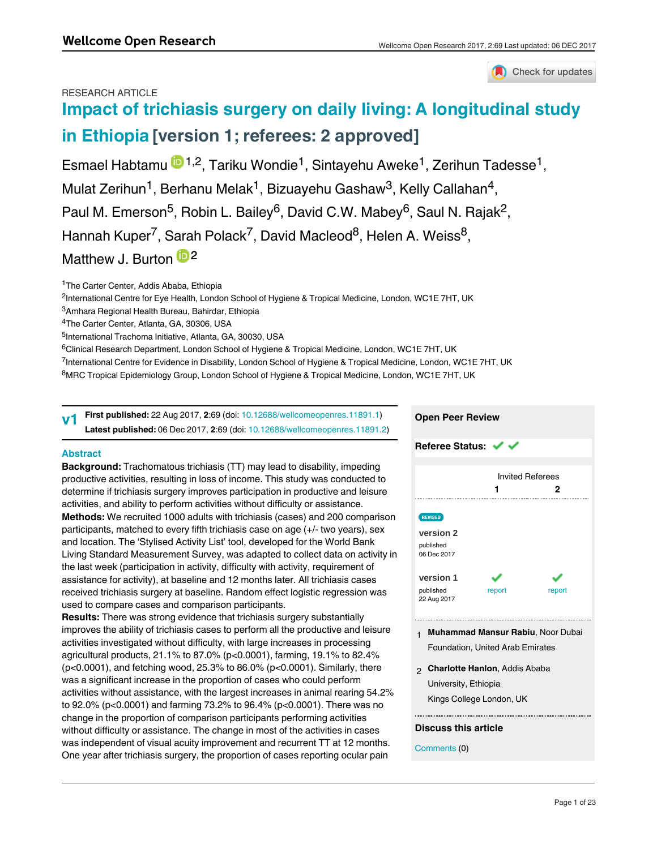Check for updates

## RESEARCH ARTICLE

# **[Impact of trichiasis surgery on daily living: A longitudinal study](https://wellcomeopenresearch.org/articles/2-69/v1) [in Ethiopia](https://wellcomeopenresearch.org/articles/2-69/v1) [version 1; referees: 2 approved]**

Esmael Habtamu <sup>in 1,2</sup>, Tariku Wondie<sup>1</sup>, Sintayehu Aweke<sup>1</sup>, Zerihun Tadesse<sup>1</sup>, Mulat Zerihun<sup>1</sup>, Berhanu Melak<sup>1</sup>, Bizuayehu Gashaw<sup>3</sup>, Kelly Callahan<sup>4</sup>, Paul M. Emerson<sup>5</sup>, Robin L. Bailey<sup>6</sup>, David C.W. Mabey<sup>6</sup>, Saul N. Rajak<sup>2</sup>, Hannah Kuper<sup>7</sup>, Sarah Polack<sup>7</sup>, David Macleod<sup>8</sup>, Helen A. Weiss<sup>8</sup>, Matthew J. Burton <sup>1</sup>2

<sup>1</sup>The Carter Center, Addis Ababa, Ethiopia

<sup>2</sup>International Centre for Eye Health, London School of Hygiene & Tropical Medicine, London, WC1E 7HT, UK

 ${}^{3}$ Amhara Regional Health Bureau, Bahirdar, Ethiopia

<sup>4</sup>The Carter Center, Atlanta, GA, 30306, USA

reduced from 98.9% to 33.7% (p<0.0001).

<sup>5</sup>International Trachoma Initiative, Atlanta, GA, 30030, USA

 $^6$ Clinical Research Department, London School of Hygiene & Tropical Medicine, London, WC1E 7HT, UK

<sup>7</sup>International Centre for Evidence in Disability, London School of Hygiene & Tropical Medicine, London, WC1E 7HT, UK

 $^8$ MRC Tropical Epidemiology Group, London School of Hygiene & Tropical Medicine, London, WC1E 7HT, UK

**First published:** 22 Aug 2017, **2**:69 (doi: [10.12688/wellcomeopenres.11891.1\)](http://dx.doi.org/10.12688/wellcomeopenres.11891.1) **Latest published:** 06 Dec 2017, **2**:69 (doi: [10.12688/wellcomeopenres.11891.2](http://dx.doi.org/10.12688/wellcomeopenres.11891.2)) **v1**

## **Abstract**

**Background:** Trachomatous trichiasis (TT) may lead to disability, impeding productive activities, resulting in loss of income. This study was conducted to determine if trichiasis surgery improves participation in productive and leisure activities, and ability to perform activities without difficulty or assistance. **Methods:** We recruited 1000 adults with trichiasis (cases) and 200 comparison participants, matched to every fifth trichiasis case on age (+/- two years), sex and location. The 'Stylised Activity List' tool, developed for the World Bank Living Standard Measurement Survey, was adapted to collect data on activity in the last week (participation in activity, difficulty with activity, requirement of assistance for activity), at baseline and 12 months later. All trichiasis cases received trichiasis surgery at baseline. Random effect logistic regression was used to compare cases and comparison participants.

**Results:** There was strong evidence that trichiasis surgery substantially improves the ability of trichiasis cases to perform all the productive and leisure activities investigated without difficulty, with large increases in processing agricultural products, 21.1% to 87.0% (p<0.0001), farming, 19.1% to 82.4% (p<0.0001), and fetching wood, 25.3% to 86.0% (p<0.0001). Similarly, there was a significant increase in the proportion of cases who could perform activities without assistance, with the largest increases in animal rearing 54.2% to 92.0% (p<0.0001) and farming 73.2% to 96.4% (p<0.0001). There was no change in the proportion of comparison participants performing activities without difficulty or assistance. The change in most of the activities in cases was independent of visual acuity improvement and recurrent TT at 12 months. One year after trichiasis surgery, the proportion of cases reporting ocular pain

# **Open Peer Review Referee Status:** Invited Referees **1 2** REVISED **[version 2](https://wellcomeopenresearch.org/articles/2-69/v2)** published 06 Dec 2017 **[version 1](https://wellcomeopenresearch.org/articles/2-69/v1)** published report report 22 Aug 2017

- **Muhammad Mansur Rabiu**, Noor Dubai Foundation, United Arab Emirates 1
- **Charlotte Hanlon**, Addis Ababa 2 University, Ethiopia Kings College London, UK

## **Discuss this article**

Comments (0)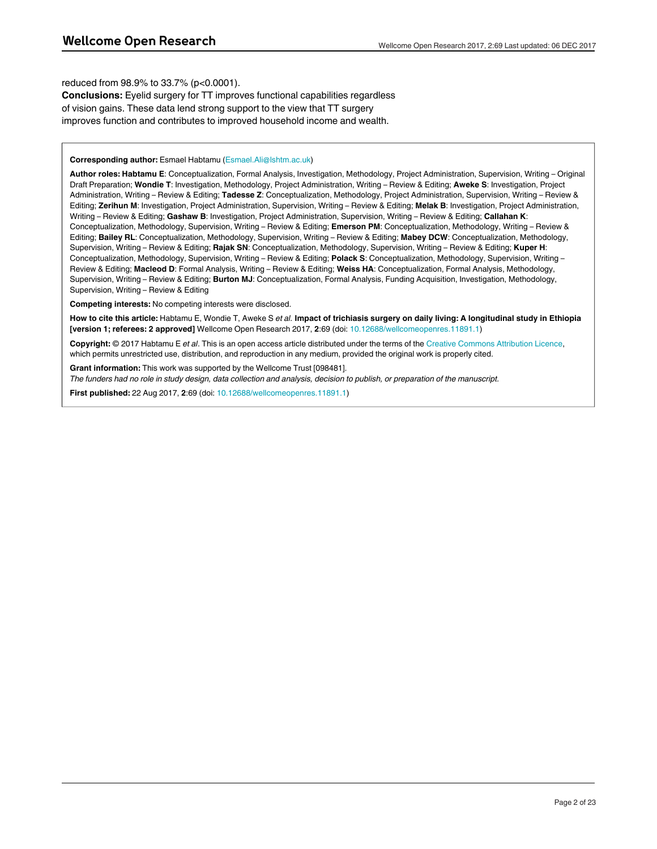reduced from 98.9% to 33.7% (p<0.0001).

**Conclusions:** Eyelid surgery for TT improves functional capabilities regardless of vision gains. These data lend strong support to the view that TT surgery improves function and contributes to improved household income and wealth.

**Corresponding author:** Esmael Habtamu (Esmael.Ali@lshtm.ac.uk)

**Author roles: Habtamu E**: Conceptualization, Formal Analysis, Investigation, Methodology, Project Administration, Supervision, Writing – Original Draft Preparation; **Wondie T**: Investigation, Methodology, Project Administration, Writing – Review & Editing; **Aweke S**: Investigation, Project Administration, Writing – Review & Editing; **Tadesse Z**: Conceptualization, Methodology, Project Administration, Supervision, Writing – Review & Editing; **Zerihun M**: Investigation, Project Administration, Supervision, Writing – Review & Editing; **Melak B**: Investigation, Project Administration, Writing – Review & Editing; **Gashaw B**: Investigation, Project Administration, Supervision, Writing – Review & Editing; **Callahan K**: Conceptualization, Methodology, Supervision, Writing – Review & Editing; **Emerson PM**: Conceptualization, Methodology, Writing – Review & Editing; **Bailey RL**: Conceptualization, Methodology, Supervision, Writing – Review & Editing; **Mabey DCW**: Conceptualization, Methodology, Supervision, Writing – Review & Editing; **Rajak SN**: Conceptualization, Methodology, Supervision, Writing – Review & Editing; **Kuper H**: Conceptualization, Methodology, Supervision, Writing – Review & Editing; **Polack S**: Conceptualization, Methodology, Supervision, Writing – Review & Editing; **Macleod D**: Formal Analysis, Writing – Review & Editing; **Weiss HA**: Conceptualization, Formal Analysis, Methodology, Supervision, Writing – Review & Editing; **Burton MJ**: Conceptualization, Formal Analysis, Funding Acquisition, Investigation, Methodology, Supervision, Writing – Review & Editing

**Competing interests:** No competing interests were disclosed.

**How to cite this article:** Habtamu E, Wondie T, Aweke S *et al.* **Impact of trichiasis surgery on daily living: A longitudinal study in Ethiopia [version 1; referees: 2 approved]** Wellcome Open Research 2017, **2**:69 (doi: [10.12688/wellcomeopenres.11891.1](http://dx.doi.org/10.12688/wellcomeopenres.11891.1))

**Copyright:** © 2017 Habtamu E *et al*. This is an open access article distributed under the terms of the [Creative Commons Attribution Licence](http://creativecommons.org/licenses/by/4.0/), which permits unrestricted use, distribution, and reproduction in any medium, provided the original work is properly cited.

**Grant information:** This work was supported by the Wellcome Trust [098481].

*The funders had no role in study design, data collection and analysis, decision to publish, or preparation of the manuscript.*

**First published:** 22 Aug 2017, **2**:69 (doi: [10.12688/wellcomeopenres.11891.1](http://dx.doi.org/10.12688/wellcomeopenres.11891.1))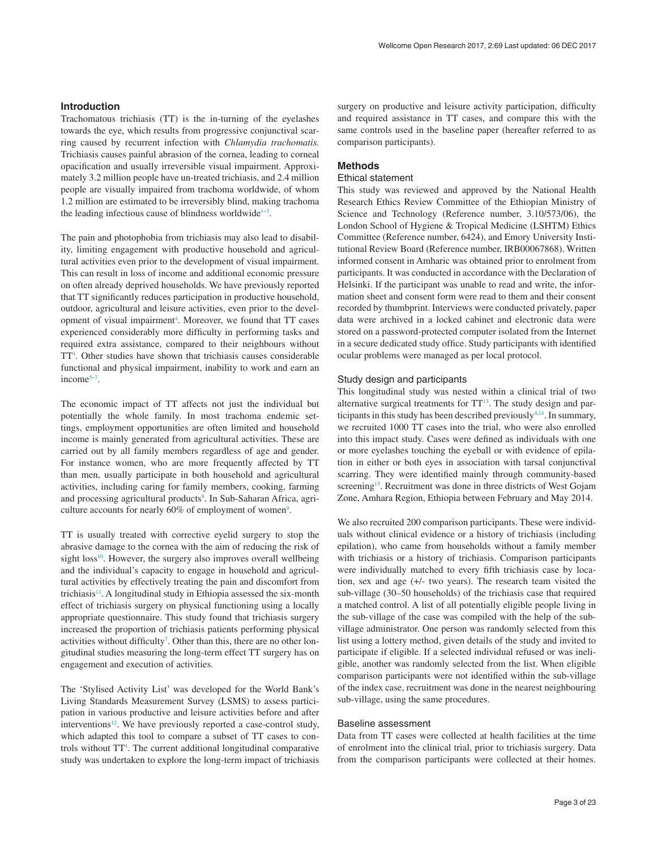## **Introduction**

Trachomatous trichiasis (TT) is the in-turning of the eyelashes towards the eye, which results from progressive conjunctival scarring caused by recurrent infection with *Chlamydia trachomatis.* Trichiasis causes painful abrasion of the cornea, leading to corneal opacification and usually irreversible visual impairment. Approximately 3.2 million people have un-treated trichiasis, and 2.4 million people are visually impaired from trachoma worldwide, of whom 1.2 million are estimated to be irreversibly blind, making trachoma the leading infectious cause of blindness worldwide $1-3$ .

The pain and photophobia from trichiasis may also lead to disability, limiting engagement with productive household and agricultural activities even prior to the development of visual impairment. This can result in loss of income and additional economic pressure on often already deprived households. We have previously reported that TT significantly reduces participation in productive household, outdoor, agricultural and leisure activities, even prior to the development of visual impairment<sup>4</sup>. Moreover, we found that TT cases experienced considerably more difficulty in performing tasks and required extra assistance, compared to their neighbours without TT<sup>[4](#page-16-0)</sup>. Other studies have shown that trichiasis causes considerable functional and physical impairment, inability to work and earn an income<sup>5-7</sup>.

The economic impact of TT affects not just the individual but potentially the whole family. In most trachoma endemic settings, employment opportunities are often limited and household income is mainly generated from agricultural activities. These are carried out by all family members regardless of age and gender. For instance women, who are more frequently affected by TT than men, usually participate in both household and agricultural activities, including caring for family members, cooking, farming and processing agricultural products<sup>[8](#page-16-0)</sup>. In Sub-Saharan Africa, agri-culture accounts for nearly 60% of employment of women<sup>[9](#page-16-0)</sup>.

TT is usually treated with corrective eyelid surgery to stop the abrasive damage to the cornea with the aim of reducing the risk of sight loss<sup>[10](#page-16-0)</sup>. However, the surgery also improves overall wellbeing and the individual's capacity to engage in household and agricultural activities by effectively treating the pain and discomfort from trichiasis $^{11}$ . A longitudinal study in Ethiopia assessed the six-month effect of trichiasis surgery on physical functioning using a locally appropriate questionnaire. This study found that trichiasis surgery increased the proportion of trichiasis patients performing physical activities without difficulty<sup>[7](#page-16-0)</sup>. Other than this, there are no other longitudinal studies measuring the long-term effect TT surgery has on engagement and execution of activities.

The 'Stylised Activity List' was developed for the World Bank's Living Standards Measurement Survey (LSMS) to assess participation in various productive and leisure activities before and after interventions<sup>12</sup>. We have previously reported a case-control study, which adapted this tool to compare a subset of TT cases to controls without TT<sup>4</sup>. The current additional longitudinal comparative study was undertaken to explore the long-term impact of trichiasis

surgery on productive and leisure activity participation, difficulty and required assistance in TT cases, and compare this with the same controls used in the baseline paper (hereafter referred to as comparison participants).

## **Methods**

## Ethical statement

This study was reviewed and approved by the National Health Research Ethics Review Committee of the Ethiopian Ministry of Science and Technology (Reference number, 3.10/573/06), the London School of Hygiene & Tropical Medicine (LSHTM) Ethics Committee (Reference number, 6424), and Emory University Institutional Review Board (Reference number, IRB00067868). Written informed consent in Amharic was obtained prior to enrolment from participants. It was conducted in accordance with the Declaration of Helsinki. If the participant was unable to read and write, the information sheet and consent form were read to them and their consent recorded by thumbprint. Interviews were conducted privately, paper data were archived in a locked cabinet and electronic data were stored on a password-protected computer isolated from the Internet in a secure dedicated study office. Study participants with identified ocular problems were managed as per local protocol.

#### Study design and participants

This longitudinal study was nested within a clinical trial of two alternative surgical treatments for  $TT<sup>13</sup>$ . The study design and participants in this study has been described previously $4,14$  $4,14$ . In summary, we recruited 1000 TT cases into the trial, who were also enrolled into this impact study. Cases were defined as individuals with one or more eyelashes touching the eyeball or with evidence of epilation in either or both eyes in association with tarsal conjunctival scarring. They were identified mainly through community-based screening<sup>15</sup>. Recruitment was done in three districts of West Gojam Zone, Amhara Region, Ethiopia between February and May 2014.

We also recruited 200 comparison participants. These were individuals without clinical evidence or a history of trichiasis (including epilation), who came from households without a family member with trichiasis or a history of trichiasis. Comparison participants were individually matched to every fifth trichiasis case by location, sex and age (+/- two years). The research team visited the sub-village (30–50 households) of the trichiasis case that required a matched control. A list of all potentially eligible people living in the sub-village of the case was compiled with the help of the subvillage administrator. One person was randomly selected from this list using a lottery method, given details of the study and invited to participate if eligible. If a selected individual refused or was ineligible, another was randomly selected from the list. When eligible comparison participants were not identified within the sub-village of the index case, recruitment was done in the nearest neighbouring sub-village, using the same procedures.

### Baseline assessment

Data from TT cases were collected at health facilities at the time of enrolment into the clinical trial, prior to trichiasis surgery. Data from the comparison participants were collected at their homes.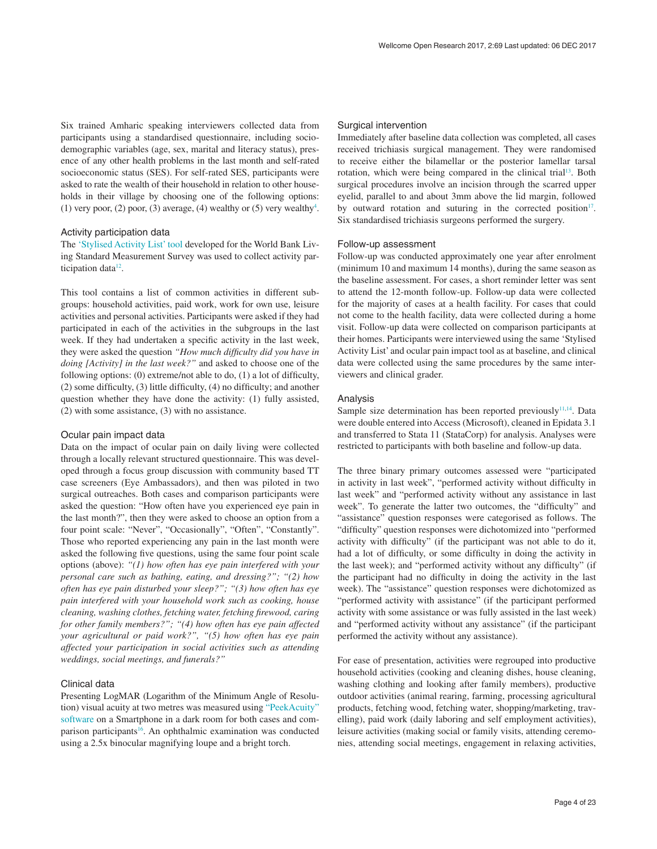Six trained Amharic speaking interviewers collected data from participants using a standardised questionnaire, including sociodemographic variables (age, sex, marital and literacy status), presence of any other health problems in the last month and self-rated socioeconomic status (SES). For self-rated SES, participants were asked to rate the wealth of their household in relation to other households in their village by choosing one of the following options: (1) very poor, (2) poor, (3) average, ([4](#page-16-0)) wealthy or (5) very wealthy<sup>4</sup>.

#### Activity participation data

The ['Stylised Activity List' tool](http://documents.worldbank.org/curated/en/155591468781810134/pdf/multi-page.pdf) developed for the World Bank Living Standard Measurement Survey was used to collect activity par-ticipation data<sup>[12](#page-16-0)</sup>.

This tool contains a list of common activities in different subgroups: household activities, paid work, work for own use, leisure activities and personal activities. Participants were asked if they had participated in each of the activities in the subgroups in the last week. If they had undertaken a specific activity in the last week, they were asked the question *"How much difficulty did you have in doing [Activity] in the last week?"* and asked to choose one of the following options: (0) extreme/not able to do, (1) a lot of difficulty, (2) some difficulty, (3) little difficulty, (4) no difficulty; and another question whether they have done the activity: (1) fully assisted, (2) with some assistance, (3) with no assistance.

### Ocular pain impact data

Data on the impact of ocular pain on daily living were collected through a locally relevant structured questionnaire. This was developed through a focus group discussion with community based TT case screeners (Eye Ambassadors), and then was piloted in two surgical outreaches. Both cases and comparison participants were asked the question: "How often have you experienced eye pain in the last month?", then they were asked to choose an option from a four point scale: "Never", "Occasionally", "Often", "Constantly". Those who reported experiencing any pain in the last month were asked the following five questions, using the same four point scale options (above): *"(1) how often has eye pain interfered with your personal care such as bathing, eating, and dressing?"; "(2) how often has eye pain disturbed your sleep?"; "(3) how often has eye pain interfered with your household work such as cooking, house cleaning, washing clothes, fetching water, fetching firewood, caring for other family members?"; "(4) how often has eye pain affected your agricultural or paid work?", "(5) how often has eye pain affected your participation in social activities such as attending weddings, social meetings, and funerals?"*

## Clinical data

Presenting LogMAR (Logarithm of the Minimum Angle of Resolution) visual acuity at two metres was measured using ["PeekAcuity"](https://www.peekvision.org/peek-apps/#acuity)  [software](https://www.peekvision.org/peek-apps/#acuity) on a Smartphone in a dark room for both cases and comparison participants<sup>16</sup>. An ophthalmic examination was conducted using a 2.5x binocular magnifying loupe and a bright torch.

## Surgical intervention

Immediately after baseline data collection was completed, all cases received trichiasis surgical management. They were randomised to receive either the bilamellar or the posterior lamellar tarsal rotation, which were being compared in the clinical trial<sup>13</sup>. Both surgical procedures involve an incision through the scarred upper eyelid, parallel to and about 3mm above the lid margin, followed by outward rotation and suturing in the corrected position $17$ . Six standardised trichiasis surgeons performed the surgery.

#### Follow-up assessment

Follow-up was conducted approximately one year after enrolment (minimum 10 and maximum 14 months), during the same season as the baseline assessment. For cases, a short reminder letter was sent to attend the 12-month follow-up. Follow-up data were collected for the majority of cases at a health facility. For cases that could not come to the health facility, data were collected during a home visit. Follow-up data were collected on comparison participants at their homes. Participants were interviewed using the same 'Stylised Activity List' and ocular pain impact tool as at baseline, and clinical data were collected using the same procedures by the same interviewers and clinical grader.

#### Analysis

Sample size determination has been reported previously<sup>11,[14](#page-17-0)</sup>. Data were double entered into Access (Microsoft), cleaned in Epidata 3.1 and transferred to Stata 11 (StataCorp) for analysis. Analyses were restricted to participants with both baseline and follow-up data.

The three binary primary outcomes assessed were "participated in activity in last week", "performed activity without difficulty in last week" and "performed activity without any assistance in last week". To generate the latter two outcomes, the "difficulty" and "assistance" question responses were categorised as follows. The "difficulty" question responses were dichotomized into "performed activity with difficulty" (if the participant was not able to do it, had a lot of difficulty, or some difficulty in doing the activity in the last week); and "performed activity without any difficulty" (if the participant had no difficulty in doing the activity in the last week). The "assistance" question responses were dichotomized as "performed activity with assistance" (if the participant performed activity with some assistance or was fully assisted in the last week) and "performed activity without any assistance" (if the participant performed the activity without any assistance).

For ease of presentation, activities were regrouped into productive household activities (cooking and cleaning dishes, house cleaning, washing clothing and looking after family members), productive outdoor activities (animal rearing, farming, processing agricultural products, fetching wood, fetching water, shopping/marketing, travelling), paid work (daily laboring and self employment activities), leisure activities (making social or family visits, attending ceremonies, attending social meetings, engagement in relaxing activities,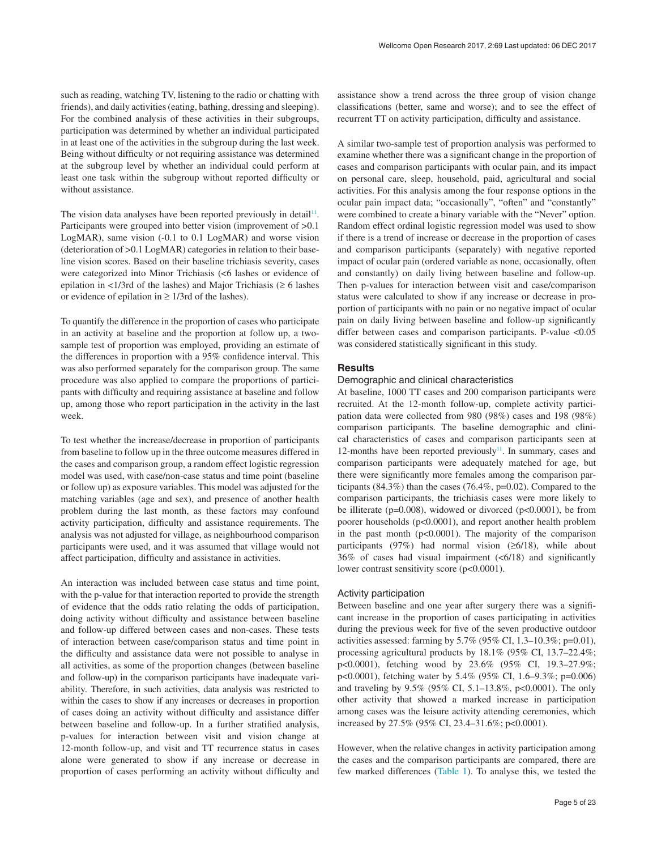such as reading, watching TV, listening to the radio or chatting with friends), and daily activities (eating, bathing, dressing and sleeping). For the combined analysis of these activities in their subgroups, participation was determined by whether an individual participated in at least one of the activities in the subgroup during the last week. Being without difficulty or not requiring assistance was determined at the subgroup level by whether an individual could perform at least one task within the subgroup without reported difficulty or without assistance.

The vision data analyses have been reported previously in detail<sup>11</sup>. Participants were grouped into better vision (improvement of >0.1 LogMAR), same vision (-0.1 to 0.1 LogMAR) and worse vision (deterioration of >0.1 LogMAR) categories in relation to their baseline vision scores. Based on their baseline trichiasis severity, cases were categorized into Minor Trichiasis (<6 lashes or evidence of epilation in  $\langle 1/3$ rd of the lashes) and Major Trichiasis ( $\geq 6$  lashes or evidence of epilation in  $\geq 1/3$ rd of the lashes).

To quantify the difference in the proportion of cases who participate in an activity at baseline and the proportion at follow up, a twosample test of proportion was employed, providing an estimate of the differences in proportion with a 95% confidence interval. This was also performed separately for the comparison group. The same procedure was also applied to compare the proportions of participants with difficulty and requiring assistance at baseline and follow up, among those who report participation in the activity in the last week.

To test whether the increase/decrease in proportion of participants from baseline to follow up in the three outcome measures differed in the cases and comparison group, a random effect logistic regression model was used, with case/non-case status and time point (baseline or follow up) as exposure variables. This model was adjusted for the matching variables (age and sex), and presence of another health problem during the last month, as these factors may confound activity participation, difficulty and assistance requirements. The analysis was not adjusted for village, as neighbourhood comparison participants were used, and it was assumed that village would not affect participation, difficulty and assistance in activities.

An interaction was included between case status and time point, with the p-value for that interaction reported to provide the strength of evidence that the odds ratio relating the odds of participation, doing activity without difficulty and assistance between baseline and follow-up differed between cases and non-cases. These tests of interaction between case/comparison status and time point in the difficulty and assistance data were not possible to analyse in all activities, as some of the proportion changes (between baseline and follow-up) in the comparison participants have inadequate variability. Therefore, in such activities, data analysis was restricted to within the cases to show if any increases or decreases in proportion of cases doing an activity without difficulty and assistance differ between baseline and follow-up. In a further stratified analysis, p-values for interaction between visit and vision change at 12-month follow-up, and visit and TT recurrence status in cases alone were generated to show if any increase or decrease in proportion of cases performing an activity without difficulty and

assistance show a trend across the three group of vision change classifications (better, same and worse); and to see the effect of recurrent TT on activity participation, difficulty and assistance.

A similar two-sample test of proportion analysis was performed to examine whether there was a significant change in the proportion of cases and comparison participants with ocular pain, and its impact on personal care, sleep, household, paid, agricultural and social activities. For this analysis among the four response options in the ocular pain impact data; "occasionally", "often" and "constantly" were combined to create a binary variable with the "Never" option. Random effect ordinal logistic regression model was used to show if there is a trend of increase or decrease in the proportion of cases and comparison participants (separately) with negative reported impact of ocular pain (ordered variable as none, occasionally, often and constantly) on daily living between baseline and follow-up. Then p-values for interaction between visit and case/comparison status were calculated to show if any increase or decrease in proportion of participants with no pain or no negative impact of ocular pain on daily living between baseline and follow-up significantly differ between cases and comparison participants. P-value <0.05 was considered statistically significant in this study.

## **Results**

#### Demographic and clinical characteristics

At baseline, 1000 TT cases and 200 comparison participants were recruited. At the 12-month follow-up, complete activity participation data were collected from 980 (98%) cases and 198 (98%) comparison participants. The baseline demographic and clinical characteristics of cases and comparison participants seen at 12-months have been reported previously<sup>11</sup>. In summary, cases and comparison participants were adequately matched for age, but there were significantly more females among the comparison participants  $(84.3\%)$  than the cases  $(76.4\%, p=0.02)$ . Compared to the comparison participants, the trichiasis cases were more likely to be illiterate ( $p=0.008$ ), widowed or divorced ( $p<0.0001$ ), be from poorer households (p<0.0001), and report another health problem in the past month  $(p<0.0001)$ . The majority of the comparison participants (97%) had normal vision  $(\geq 6/18)$ , while about  $36\%$  of cases had visual impairment  $\left( \frac{5}{18} \right)$  and significantly lower contrast sensitivity score (p<0.0001).

#### Activity participation

Between baseline and one year after surgery there was a significant increase in the proportion of cases participating in activities during the previous week for five of the seven productive outdoor activities assessed: farming by 5.7% (95% CI, 1.3–10.3%; p=0.01), processing agricultural products by 18.1% (95% CI, 13.7–22.4%; p<0.0001), fetching wood by 23.6% (95% CI, 19.3–27.9%; p<0.0001), fetching water by 5.4% (95% CI, 1.6–9.3%; p=0.006) and traveling by 9.5% (95% CI, 5.1–13.8%, p<0.0001). The only other activity that showed a marked increase in participation among cases was the leisure activity attending ceremonies, which increased by 27.5% (95% CI, 23.4–31.6%; p<0.0001).

However, when the relative changes in activity participation among the cases and the comparison participants are compared, there are few marked differences ([Table 1\)](#page-5-0). To analyse this, we tested the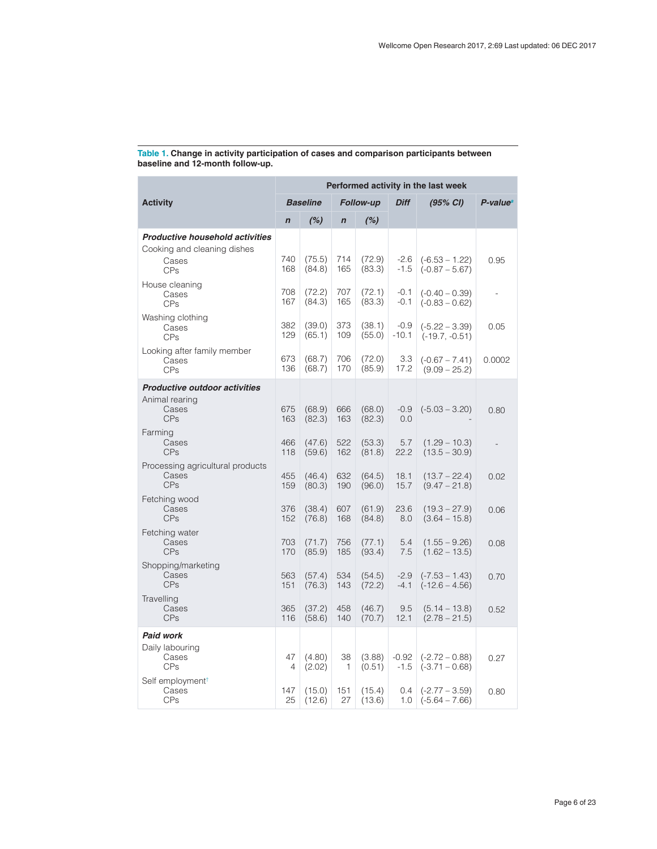|                                                         |                  |                  |             |                  |                   | Performed activity in the last week  |                      |
|---------------------------------------------------------|------------------|------------------|-------------|------------------|-------------------|--------------------------------------|----------------------|
| <b>Activity</b>                                         |                  | <b>Baseline</b>  |             | <b>Follow-up</b> | <b>Diff</b>       | (95% CI)                             | P-value <sup>a</sup> |
|                                                         | $\boldsymbol{n}$ | (%)              | $\mathbf n$ | (%)              |                   |                                      |                      |
| <b>Productive household activities</b>                  |                  |                  |             |                  |                   |                                      |                      |
| Cooking and cleaning dishes<br>Cases<br>CPs             | 740<br>168       | (75.5)<br>(84.8) | 714<br>165  | (72.9)<br>(83.3) | $-2.6$<br>$-1.5$  | $(-6.53 - 1.22)$<br>$(-0.87 - 5.67)$ | 0.95                 |
| House cleaning<br>Cases<br>CPs                          | 708<br>167       | (72.2)<br>(84.3) | 707<br>165  | (72.1)<br>(83.3) | $-0.1$<br>$-0.1$  | $(-0.40 - 0.39)$<br>$(-0.83 - 0.62)$ | ÷,                   |
| Washing clothing<br>Cases<br>CPs                        | 382<br>129       | (39.0)<br>(65.1) | 373<br>109  | (38.1)<br>(55.0) | $-0.9$<br>$-10.1$ | $(-5.22 - 3.39)$<br>$(-19.7, -0.51)$ | 0.05                 |
| Looking after family member<br>Cases<br>CPs             | 673<br>136       | (68.7)<br>(68.7) | 706<br>170  | (72.0)<br>(85.9) | 3.3<br>17.2       | $(-0.67 - 7.41)$<br>$(9.09 - 25.2)$  | 0.0002               |
| <b>Productive outdoor activities</b>                    |                  |                  |             |                  |                   |                                      |                      |
| Animal rearing<br>Cases<br>CPs                          | 675<br>163       | (68.9)<br>(82.3) | 666<br>163  | (68.0)<br>(82.3) | $-0.9$<br>0.0     | $(-5.03 - 3.20)$                     | 0.80                 |
| Farming<br>Cases<br><b>CPs</b>                          | 466<br>118       | (47.6)<br>(59.6) | 522<br>162  | (53.3)<br>(81.8) | 5.7<br>22.2       | $(1.29 - 10.3)$<br>$(13.5 - 30.9)$   | $\overline{a}$       |
| Processing agricultural products<br>Cases<br><b>CPs</b> | 455<br>159       | (46.4)<br>(80.3) | 632<br>190  | (64.5)<br>(96.0) | 18.1<br>15.7      | $(13.7 - 22.4)$<br>$(9.47 - 21.8)$   | 0.02                 |
| Fetching wood<br>Cases<br><b>CPs</b>                    | 376<br>152       | (38.4)<br>(76.8) | 607<br>168  | (61.9)<br>(84.8) | 23.6<br>8.0       | $(19.3 - 27.9)$<br>$(3.64 - 15.8)$   | 0.06                 |
| Fetching water<br>Cases<br><b>CPs</b>                   | 703<br>170       | (71.7)<br>(85.9) | 756<br>185  | (77.1)<br>(93.4) | 5.4<br>7.5        | $(1.55 - 9.26)$<br>$(1.62 - 13.5)$   | 0.08                 |
| Shopping/marketing<br>Cases<br><b>CPs</b>               | 563<br>151       | (57.4)<br>(76.3) | 534<br>143  | (54.5)<br>(72.2) | $-2.9$<br>$-4.1$  | $(-7.53 - 1.43)$<br>$(-12.6 - 4.56)$ | 0.70                 |
| Travelling<br>Cases<br>CPs                              | 365<br>116       | (37.2)<br>(58.6) | 458<br>140  | (46.7)<br>(70.7) | 9.5<br>12.1       | $(5.14 - 13.8)$<br>$(2.78 - 21.5)$   | 0.52                 |
| <b>Paid work</b>                                        |                  |                  |             |                  |                   |                                      |                      |
| Daily labouring<br>Cases<br><b>CPs</b>                  | 47<br>4          | (4.80)<br>(2.02) | 38<br>1     | (3.88)<br>(0.51) | $-0.92$<br>$-1.5$ | $(-2.72 - 0.88)$<br>$(-3.71 - 0.68)$ | 0.27                 |
| Self employment <sup>+</sup><br>Cases<br><b>CPs</b>     | 147<br>25        | (15.0)<br>(12.6) | 151<br>27   | (15.4)<br>(13.6) | 0.4<br>1.0        | $(-2.77 - 3.59)$<br>$(-5.64 - 7.66)$ | 0.80                 |

#### <span id="page-5-0"></span>**Table 1. Change in activity participation of cases and comparison participants between baseline and 12-month follow-up.**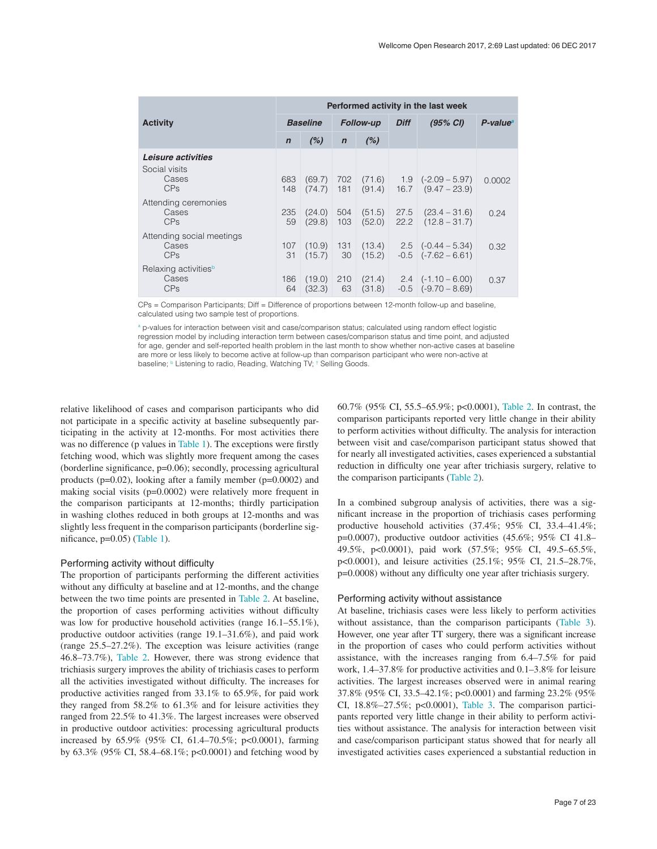<span id="page-6-0"></span>

|                                                     |             |                  |             |                  |             | Performed activity in the last week                      |                      |
|-----------------------------------------------------|-------------|------------------|-------------|------------------|-------------|----------------------------------------------------------|----------------------|
| <b>Activity</b>                                     |             | <b>Baseline</b>  |             | <b>Follow-up</b> | <b>Diff</b> | (95% CI)                                                 | P-value <sup>®</sup> |
|                                                     | $\mathbf n$ | (%)              | $\mathbf n$ | (%)              |             |                                                          |                      |
| Leisure activities<br>Social visits<br>Cases<br>CPs | 683<br>148  | (69.7)<br>(74.7) | 702<br>181  | (71.6)<br>(91.4) |             | $1.9$ (-2.09 – 5.97)<br>$16.7$ $(9.47 - 23.9)$           | 0.0002               |
| Attending ceremonies<br>Cases<br>CPs                | 235<br>59   | (24.0)<br>(29.8) | 504<br>103  | (51.5)<br>(52.0) | 22.2        | $27.5$ $(23.4 - 31.6)$<br>$(12.8 - 31.7)$                | 0.24                 |
| Attending social meetings<br>Cases<br>CPs           | 107<br>31   | (10.9)<br>(15.7) | 131<br>30   | (15.2)           |             | $(13.4)$ 2.5 $(-0.44 - 5.34)$<br>$-0.5$ $(-7.62 - 6.61)$ | 0.32                 |
| Relaxing activities <sup>b</sup><br>Cases<br>CPs    | 186<br>64   | (19.0)<br>(32.3) | 210<br>63   | (31.8)           |             | $(21.4)$ 2.4 $(-1.10 - 6.00)$<br>$-0.5$ $(-9.70 - 8.69)$ | 0.37                 |

CPs = Comparison Participants; Diff = Difference of proportions between 12-month follow-up and baseline, calculated using two sample test of proportions.

a p-values for interaction between visit and case/comparison status; calculated using random effect logistic regression model by including interaction term between cases/comparison status and time point, and adjusted for age, gender and self-reported health problem in the last month to show whether non-active cases at baseline are more or less likely to become active at follow-up than comparison participant who were non-active at baseline; <sup>b</sup> Listening to radio, Reading, Watching TV; <sup>†</sup> Selling Goods.

relative likelihood of cases and comparison participants who did not participate in a specific activity at baseline subsequently participating in the activity at 12-months. For most activities there was no difference (p values in [Table 1\)](#page-5-0). The exceptions were firstly fetching wood, which was slightly more frequent among the cases (borderline significance, p=0.06); secondly, processing agricultural products (p=0.02), looking after a family member (p=0.0002) and making social visits (p=0.0002) were relatively more frequent in the comparison participants at 12-months; thirdly participation in washing clothes reduced in both groups at 12-months and was slightly less frequent in the comparison participants (borderline significance, p=0.05) [\(Table 1\)](#page-5-0).

#### Performing activity without difficulty

The proportion of participants performing the different activities without any difficulty at baseline and at 12-months, and the change between the two time points are presented in [Table 2.](#page-7-0) At baseline, the proportion of cases performing activities without difficulty was low for productive household activities (range  $16.1-55.1\%$ ), productive outdoor activities (range 19.1–31.6%), and paid work (range 25.5–27.2%). The exception was leisure activities (range 46.8–73.7%), [Table 2](#page-7-0). However, there was strong evidence that trichiasis surgery improves the ability of trichiasis cases to perform all the activities investigated without difficulty. The increases for productive activities ranged from 33.1% to 65.9%, for paid work they ranged from 58.2% to 61.3% and for leisure activities they ranged from 22.5% to 41.3%. The largest increases were observed in productive outdoor activities: processing agricultural products increased by 65.9% (95% CI, 61.4–70.5%; p<0.0001), farming by 63.3% (95% CI, 58.4–68.1%; p<0.0001) and fetching wood by

60.7% (95% CI, 55.5–65.9%; p<0.0001), [Table 2.](#page-7-0) In contrast, the comparison participants reported very little change in their ability to perform activities without difficulty. The analysis for interaction between visit and case/comparison participant status showed that for nearly all investigated activities, cases experienced a substantial reduction in difficulty one year after trichiasis surgery, relative to the comparison participants [\(Table 2\)](#page-7-0).

In a combined subgroup analysis of activities, there was a significant increase in the proportion of trichiasis cases performing productive household activities (37.4%; 95% CI, 33.4–41.4%; p=0.0007), productive outdoor activities (45.6%; 95% CI 41.8– 49.5%, p<0.0001), paid work (57.5%; 95% CI, 49.5–65.5%, p<0.0001), and leisure activities (25.1%; 95% CI, 21.5–28.7%, p=0.0008) without any difficulty one year after trichiasis surgery.

#### Performing activity without assistance

At baseline, trichiasis cases were less likely to perform activities without assistance, than the comparison participants [\(Table 3](#page-9-0)). However, one year after TT surgery, there was a significant increase in the proportion of cases who could perform activities without assistance, with the increases ranging from 6.4–7.5% for paid work, 1.4–37.8% for productive activities and 0.1–3.8% for leisure activities. The largest increases observed were in animal rearing 37.8% (95% CI, 33.5–42.1%; p<0.0001) and farming 23.2% (95% CI, 18.8%–27.5%; p<0.0001), [Table 3](#page-9-0). The comparison participants reported very little change in their ability to perform activities without assistance. The analysis for interaction between visit and case/comparison participant status showed that for nearly all investigated activities cases experienced a substantial reduction in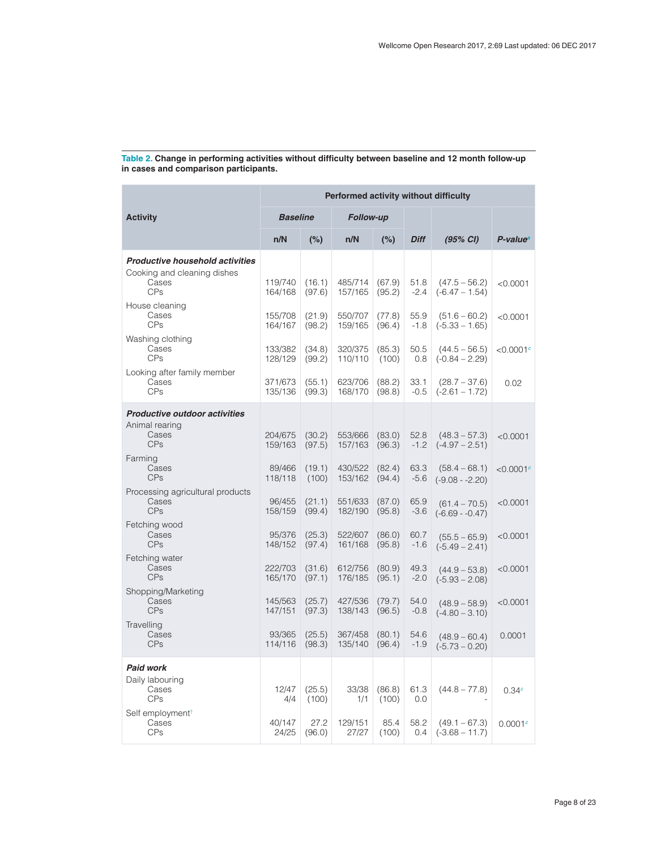#### <span id="page-7-0"></span>**Table 2. Change in performing activities without difficulty between baseline and 12 month follow-up in cases and comparison participants.**

|                                                         |                    |                  | Performed activity without difficulty |                  |                |                                      |                      |
|---------------------------------------------------------|--------------------|------------------|---------------------------------------|------------------|----------------|--------------------------------------|----------------------|
| <b>Activity</b>                                         | <b>Baseline</b>    |                  | <b>Follow-up</b>                      |                  |                |                                      |                      |
|                                                         | n/N                | (%)              | n/N                                   | $(\%)$           | <b>Diff</b>    | (95% CI)                             | P-value <sup>a</sup> |
| <b>Productive household activities</b>                  |                    |                  |                                       |                  |                |                                      |                      |
| Cooking and cleaning dishes<br>Cases<br><b>CPs</b>      | 119/740<br>164/168 | (16.1)<br>(97.6) | 485/714<br>157/165                    | (67.9)<br>(95.2) | 51.8<br>$-2.4$ | $(47.5 - 56.2)$<br>$(-6.47 - 1.54)$  | < 0.0001             |
| House cleaning<br>Cases<br><b>CPs</b>                   | 155/708<br>164/167 | (21.9)<br>(98.2) | 550/707<br>159/165                    | (77.8)<br>(96.4) | 55.9<br>$-1.8$ | $(51.6 - 60.2)$<br>$(-5.33 - 1.65)$  | < 0.0001             |
| Washing clothing<br>Cases<br><b>CPs</b>                 | 133/382<br>128/129 | (34.8)<br>(99.2) | 320/375<br>110/110                    | (85.3)<br>(100)  | 50.5<br>0.8    | $(44.5 - 56.5)$<br>$(-0.84 - 2.29)$  | < 0.0001c            |
| Looking after family member<br>Cases<br><b>CPs</b>      | 371/673<br>135/136 | (55.1)<br>(99.3) | 623/706<br>168/170                    | (88.2)<br>(98.8) | 33.1<br>$-0.5$ | $(28.7 - 37.6)$<br>$(-2.61 - 1.72)$  | 0.02                 |
| <b>Productive outdoor activities</b>                    |                    |                  |                                       |                  |                |                                      |                      |
| Animal rearing<br>Cases<br>CPs                          | 204/675<br>159/163 | (30.2)<br>(97.5) | 553/666<br>157/163                    | (83.0)<br>(96.3) | 52.8<br>$-1.2$ | $(48.3 - 57.3)$<br>$(-4.97 - 2.51)$  | < 0.0001             |
| Farming<br>Cases<br>CPs                                 | 89/466<br>118/118  | (19.1)<br>(100)  | 430/522<br>153/162                    | (82.4)<br>(94.4) | 63.3<br>$-5.6$ | $(58.4 - 68.1)$<br>$(-9.08 - -2.20)$ | < 0.0001c            |
| Processing agricultural products<br>Cases<br><b>CPs</b> | 96/455<br>158/159  | (21.1)<br>(99.4) | 551/633<br>182/190                    | (87.0)<br>(95.8) | 65.9<br>$-3.6$ | $(61.4 - 70.5)$<br>$(-6.69 - 0.47)$  | < 0.0001             |
| Fetching wood<br>Cases<br>CPs                           | 95/376<br>148/152  | (25.3)<br>(97.4) | 522/607<br>161/168                    | (86.0)<br>(95.8) | 60.7<br>$-1.6$ | $(55.5 - 65.9)$<br>$(-5.49 - 2.41)$  | < 0.0001             |
| Fetching water<br>Cases<br>CPs                          | 222/703<br>165/170 | (31.6)<br>(97.1) | 612/756<br>176/185                    | (80.9)<br>(95.1) | 49.3<br>$-2.0$ | $(44.9 - 53.8)$<br>$(-5.93 - 2.08)$  | < 0.0001             |
| Shopping/Marketing<br>Cases<br><b>CPs</b>               | 145/563<br>147/151 | (25.7)<br>(97.3) | 427/536<br>138/143                    | (79.7)<br>(96.5) | 54.0<br>$-0.8$ | $(48.9 - 58.9)$<br>$(-4.80 - 3.10)$  | < 0.0001             |
| Travelling<br>Cases<br><b>CPs</b>                       | 93/365<br>114/116  | (25.5)<br>(98.3) | 367/458<br>135/140                    | (80.1)<br>(96.4) | 54.6<br>$-1.9$ | $(48.9 - 60.4)$<br>$(-5.73 - 0.20)$  | 0.0001               |
| Paid work                                               |                    |                  |                                       |                  |                |                                      |                      |
| Daily labouring<br>Cases<br><b>CPs</b>                  | 12/47<br>4/4       | (25.5)<br>(100)  | 33/38<br>1/1                          | (86.8)<br>(100)  | 61.3<br>0.0    | $(44.8 - 77.8)$                      | 0.34c                |
| Self employment <sup>+</sup><br>Cases<br><b>CPs</b>     | 40/147<br>24/25    | 27.2<br>(96.0)   | 129/151<br>27/27                      | 85.4<br>(100)    | 58.2<br>0.4    | $(49.1 - 67.3)$<br>$(-3.68 - 11.7)$  | 0.0001c              |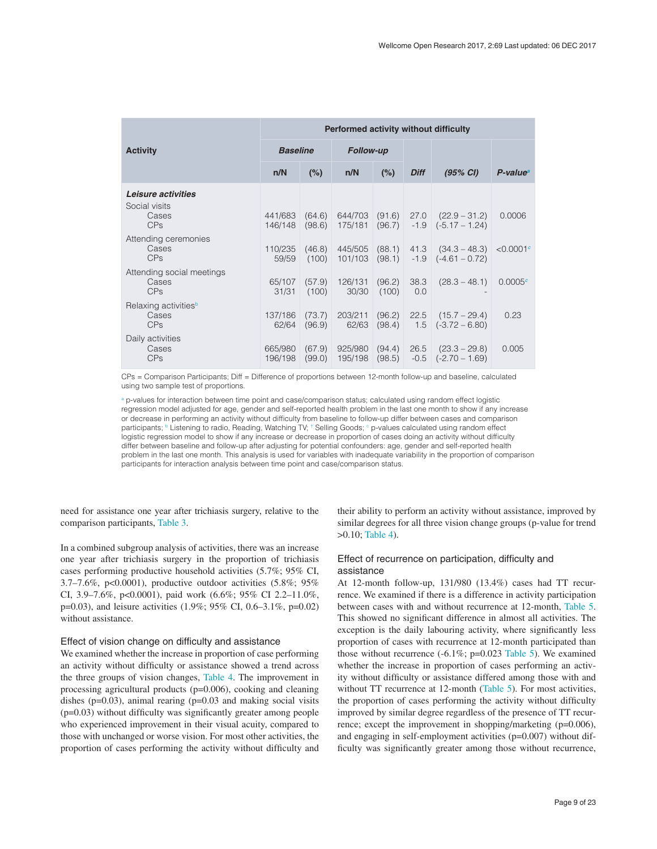<span id="page-8-0"></span>

|                                                     |                    |                  | Performed activity without difficulty |                  |                |                                            |                      |
|-----------------------------------------------------|--------------------|------------------|---------------------------------------|------------------|----------------|--------------------------------------------|----------------------|
| <b>Activity</b>                                     | <b>Baseline</b>    |                  | <b>Follow-up</b>                      |                  |                |                                            |                      |
|                                                     | n/N                | (%)              | n/N                                   | (%)              | <b>Diff</b>    | (95% CI)                                   | P-value <sup>a</sup> |
| Leisure activities<br>Social visits<br>Cases<br>CPs | 441/683<br>146/148 | (64.6)<br>(98.6) | 644/703<br>175/181                    | (91.6)<br>(96.7) | 27.0           | $(22.9 - 31.2)$<br>$-1.9$ $(-5.17 - 1.24)$ | 0.0006               |
| Attending ceremonies<br>Cases<br>CPs                | 110/235<br>59/59   | (46.8)<br>(100)  | 445/505<br>101/103                    | (88.1)<br>(98.1) | 41.3           | $(34.3 - 48.3)$<br>$-1.9$ $(-4.61 - 0.72)$ | < 0.0001c            |
| Attending social meetings<br>Cases<br>CPs           | 65/107<br>31/31    | (57.9)<br>(100)  | 126/131<br>30/30                      | (96.2)<br>(100)  | 38.3<br>0.0    | $(28.3 - 48.1)$                            | 0.0005c              |
| Relaxing activities <sup>b</sup><br>Cases<br>CPs    | 137/186<br>62/64   | (73.7)<br>(96.9) | 203/211<br>62/63                      | (96.2)<br>(98.4) | 22.5<br>1.5    | $(15.7 - 29.4)$<br>$(-3.72 - 6.80)$        | 0.23                 |
| Daily activities<br>Cases<br>CPs                    | 665/980<br>196/198 | (67.9)<br>(99.0) | 925/980<br>195/198                    | (94.4)<br>(98.5) | 26.5<br>$-0.5$ | $(23.3 - 29.8)$<br>$(-2.70 - 1.69)$        | 0.005                |

CPs = Comparison Participants; Diff = Difference of proportions between 12-month follow-up and baseline, calculated using two sample test of proportions.

a p-values for interaction between time point and case/comparison status; calculated using random effect logistic regression model adjusted for age, gender and self-reported health problem in the last one month to show if any increase or decrease in performing an activity without difficulty from baseline to follow-up differ between cases and comparison participants; b Listening to radio, Reading, Watching TV; † Selling Goods; op-values calculated using random effect logistic regression model to show if any increase or decrease in proportion of cases doing an activity without difficulty differ between baseline and follow-up after adjusting for potential confounders: age, gender and self-reported health problem in the last one month. This analysis is used for variables with inadequate variability in the proportion of comparison participants for interaction analysis between time point and case/comparison status.

need for assistance one year after trichiasis surgery, relative to the comparison participants, [Table 3.](#page-9-0)

In a combined subgroup analysis of activities, there was an increase one year after trichiasis surgery in the proportion of trichiasis cases performing productive household activities (5.7%; 95% CI, 3.7–7.6%, p<0.0001), productive outdoor activities (5.8%; 95% CI, 3.9–7.6%, p<0.0001), paid work (6.6%; 95% CI 2.2–11.0%, p=0.03), and leisure activities (1.9%; 95% CI, 0.6–3.1%, p=0.02) without assistance.

#### Effect of vision change on difficulty and assistance

We examined whether the increase in proportion of case performing an activity without difficulty or assistance showed a trend across the three groups of vision changes, [Table 4](#page-11-0). The improvement in processing agricultural products (p=0.006), cooking and cleaning dishes (p=0.03), animal rearing (p=0.03 and making social visits (p=0.03) without difficulty was significantly greater among people who experienced improvement in their visual acuity, compared to those with unchanged or worse vision. For most other activities, the proportion of cases performing the activity without difficulty and their ability to perform an activity without assistance, improved by similar degrees for all three vision change groups (p-value for trend >0.10; [Table 4\)](#page-11-0).

## Effect of recurrence on participation, difficulty and assistance

At 12-month follow-up, 131/980 (13.4%) cases had TT recurrence. We examined if there is a difference in activity participation between cases with and without recurrence at 12-month, [Table 5](#page-12-0). This showed no significant difference in almost all activities. The exception is the daily labouring activity, where significantly less proportion of cases with recurrence at 12-month participated than those without recurrence  $(-6.1\%; p=0.023$  [Table 5](#page-12-0)). We examined whether the increase in proportion of cases performing an activity without difficulty or assistance differed among those with and without TT recurrence at 12-month [\(Table 5](#page-12-0)). For most activities, the proportion of cases performing the activity without difficulty improved by similar degree regardless of the presence of TT recurrence; except the improvement in shopping/marketing (p=0.006), and engaging in self-employment activities (p=0.007) without difficulty was significantly greater among those without recurrence,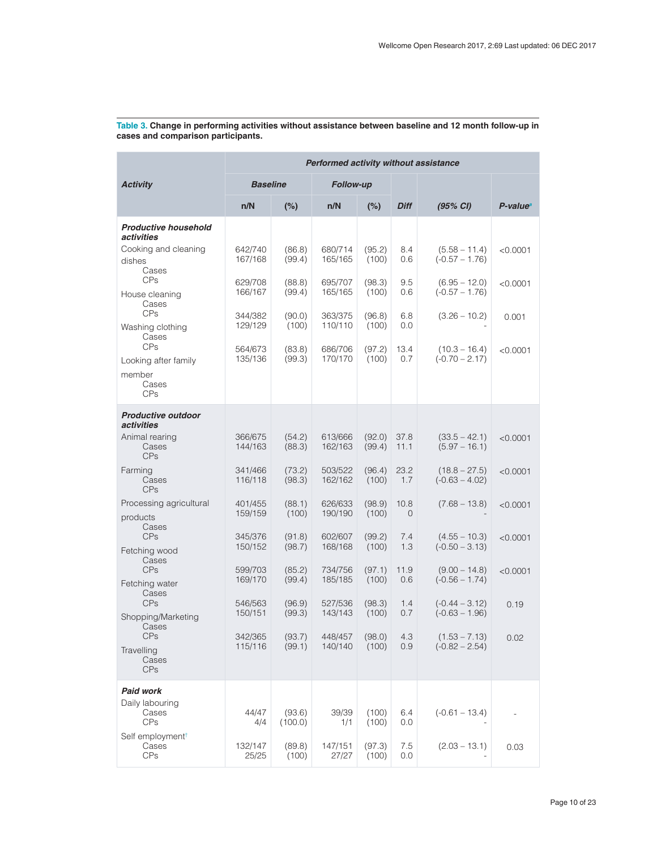|                                                |                    |                   | Performed activity without assistance |                  |                      |                                      |                      |
|------------------------------------------------|--------------------|-------------------|---------------------------------------|------------------|----------------------|--------------------------------------|----------------------|
| <b>Activity</b>                                | <b>Baseline</b>    |                   | <b>Follow-up</b>                      |                  |                      |                                      |                      |
|                                                | n/N                | (%)               | n/N                                   | (%)              | <b>Diff</b>          | (95% CI)                             | P-value <sup>a</sup> |
| <b>Productive household</b><br>activities      |                    |                   |                                       |                  |                      |                                      |                      |
| Cooking and cleaning<br>dishes<br>Cases        | 642/740<br>167/168 | (86.8)<br>(99.4)  | 680/714<br>165/165                    | (95.2)<br>(100)  | 8.4<br>0.6           | $(5.58 - 11.4)$<br>$(-0.57 - 1.76)$  | < 0.0001             |
| <b>CPs</b><br>House cleaning                   | 629/708<br>166/167 | (88.8)<br>(99.4)  | 695/707<br>165/165                    | (98.3)<br>(100)  | 9.5<br>0.6           | $(6.95 - 12.0)$<br>$(-0.57 - 1.76)$  | < 0.0001             |
| Cases<br>CPs<br>Washing clothing               | 344/382<br>129/129 | (90.0)<br>(100)   | 363/375<br>110/110                    | (96.8)<br>(100)  | 6.8<br>0.0           | $(3.26 - 10.2)$                      | 0.001                |
| Cases<br><b>CPs</b><br>Looking after family    | 564/673<br>135/136 | (83.8)<br>(99.3)  | 686/706<br>170/170                    | (97.2)<br>(100)  | 13.4<br>0.7          | $(10.3 - 16.4)$<br>$(-0.70 - 2.17)$  | < 0.0001             |
| member<br>Cases<br><b>CPs</b>                  |                    |                   |                                       |                  |                      |                                      |                      |
| <b>Productive outdoor</b><br><i>activities</i> |                    |                   |                                       |                  |                      |                                      |                      |
| Animal rearing<br>Cases<br><b>CPs</b>          | 366/675<br>144/163 | (54.2)<br>(88.3)  | 613/666<br>162/163                    | (92.0)<br>(99.4) | 37.8<br>11.1         | $(33.5 - 42.1)$<br>$(5.97 - 16.1)$   | < 0.0001             |
| Farming<br>Cases<br><b>CPs</b>                 | 341/466<br>116/118 | (73.2)<br>(98.3)  | 503/522<br>162/162                    | (96.4)<br>(100)  | 23.2<br>1.7          | $(18.8 - 27.5)$<br>$(-0.63 - 4.02)$  | < 0.0001             |
| Processing agricultural<br>products            | 401/455<br>159/159 | (88.1)<br>(100)   | 626/633<br>190/190                    | (98.9)<br>(100)  | 10.8<br>$\mathbf{O}$ | $(7.68 - 13.8)$                      | < 0.0001             |
| Cases<br><b>CPs</b><br>Fetching wood           | 345/376<br>150/152 | (91.8)<br>(98.7)  | 602/607<br>168/168                    | (99.2)<br>(100)  | 7.4<br>1.3           | $(4.55 - 10.3)$<br>$(-0.50 - 3.13)$  | < 0.0001             |
| Cases<br>CPs<br>Fetching water                 | 599/703<br>169/170 | (85.2)<br>(99.4)  | 734/756<br>185/185                    | (97.1)<br>(100)  | 11.9<br>0.6          | $(9.00 - 14.8)$<br>$(-0.56 - 1.74)$  | < 0.0001             |
| Cases<br><b>CPs</b><br>Shopping/Marketing      | 546/563<br>150/151 | (96.9)<br>(99.3)  | 527/536<br>143/143                    | (98.3)<br>(100)  | 1.4<br>0.7           | $(-0.44 - 3.12)$<br>$(-0.63 - 1.96)$ | 0.19                 |
| Cases<br>CPs                                   | 342/365            | (93.7)            | 448/457                               | (98.0)           | 4.3                  | $(1.53 - 7.13)$                      | 0.02                 |
| Travelling<br>Cases<br><b>CPs</b>              | 115/116            | (99.1)            | 140/140                               | (100)            | 0.9                  | $(-0.82 - 2.54)$                     |                      |
| <b>Paid work</b>                               |                    |                   |                                       |                  |                      |                                      |                      |
| Daily labouring<br>Cases<br>CPs                | 44/47<br>4/4       | (93.6)<br>(100.0) | 39/39<br>1/1                          | (100)<br>(100)   | 6.4<br>0.0           | $(-0.61 - 13.4)$                     |                      |
| Self employment <sup>+</sup><br>Cases<br>CPs   | 132/147<br>25/25   | (89.8)<br>(100)   | 147/151<br>27/27                      | (97.3)<br>(100)  | 7.5<br>0.0           | $(2.03 - 13.1)$                      | 0.03                 |

#### <span id="page-9-0"></span>**Table 3. Change in performing activities without assistance between baseline and 12 month follow-up in cases and comparison participants.**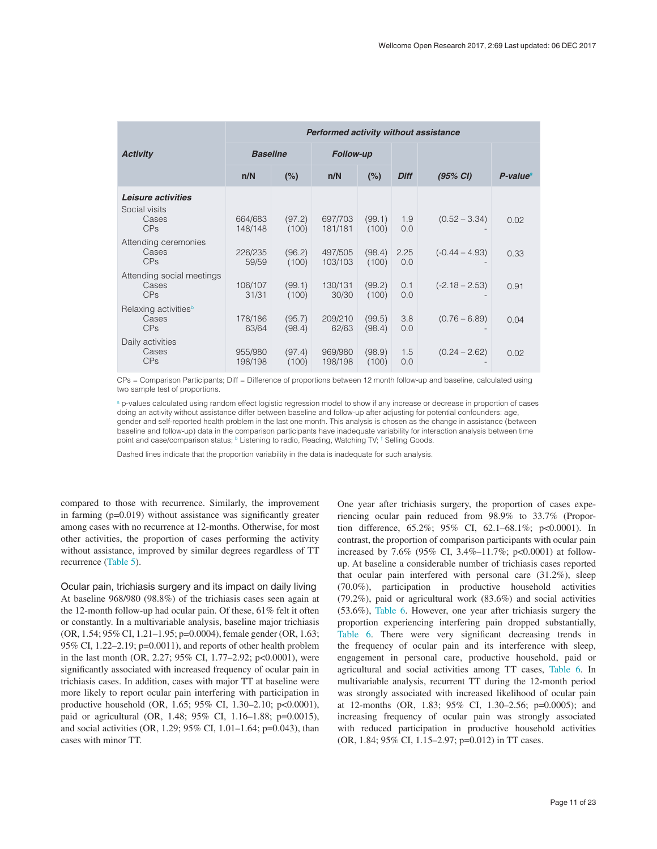<span id="page-10-0"></span>

|                                                         |                    |                  | Performed activity without assistance |                  |             |                  |                                      |
|---------------------------------------------------------|--------------------|------------------|---------------------------------------|------------------|-------------|------------------|--------------------------------------|
| <b>Activity</b>                                         | <b>Baseline</b>    |                  | <b>Follow-up</b>                      |                  |             |                  |                                      |
|                                                         | n/N                | (%)              | n/N                                   | (%)              | <b>Diff</b> | (95% CI)         | $P$ -value <sup><math>a</math></sup> |
| Leisure activities<br>Social visits<br>Cases<br>CPs     | 664/683<br>148/148 | (97.2)<br>(100)  | 697/703<br>181/181                    | (99.1)<br>(100)  | 1.9<br>0.0  | $(0.52 - 3.34)$  | 0.02                                 |
| Attending ceremonies<br>Cases<br>CPs                    | 226/235<br>59/59   | (96.2)<br>(100)  | 497/505<br>103/103                    | (98.4)<br>(100)  | 2.25<br>0.0 | $(-0.44 - 4.93)$ | 0.33                                 |
| Attending social meetings<br>Cases<br><b>CPs</b>        | 106/107<br>31/31   | (99.1)<br>(100)  | 130/131<br>30/30                      | (99.2)<br>(100)  | 0.1<br>0.0  | $(-2.18 - 2.53)$ | 0.91                                 |
| Relaxing activities <sup>b</sup><br>Cases<br><b>CPs</b> | 178/186<br>63/64   | (95.7)<br>(98.4) | 209/210<br>62/63                      | (99.5)<br>(98.4) | 3.8<br>0.0  | $(0.76 - 6.89)$  | 0.04                                 |
| Daily activities<br>Cases<br><b>CPs</b>                 | 955/980<br>198/198 | (97.4)<br>(100)  | 969/980<br>198/198                    | (98.9)<br>(100)  | 1.5<br>0.0  | $(0.24 - 2.62)$  | 0.02                                 |

CPs = Comparison Participants; Diff = Difference of proportions between 12 month follow-up and baseline, calculated using two sample test of proportions.

a p-values calculated using random effect logistic regression model to show if any increase or decrease in proportion of cases doing an activity without assistance differ between baseline and follow-up after adjusting for potential confounders: age, gender and self-reported health problem in the last one month. This analysis is chosen as the change in assistance (between baseline and follow-up) data in the comparison participants have inadequate variability for interaction analysis between time point and case/comparison status;  $\frac{b}{c}$  Listening to radio, Reading, Watching TV;  $\dagger$  Selling Goods.

Dashed lines indicate that the proportion variability in the data is inadequate for such analysis.

compared to those with recurrence. Similarly, the improvement in farming (p=0.019) without assistance was significantly greater among cases with no recurrence at 12-months. Otherwise, for most other activities, the proportion of cases performing the activity without assistance, improved by similar degrees regardless of TT recurrence ([Table 5](#page-12-0)).

Ocular pain, trichiasis surgery and its impact on daily living At baseline 968/980 (98.8%) of the trichiasis cases seen again at the 12-month follow-up had ocular pain. Of these, 61% felt it often or constantly. In a multivariable analysis, baseline major trichiasis (OR, 1.54; 95% CI, 1.21–1.95; p=0.0004), female gender (OR, 1.63; 95% CI, 1.22–2.19; p=0.0011), and reports of other health problem in the last month (OR, 2.27; 95% CI, 1.77–2.92; p<0.0001), were significantly associated with increased frequency of ocular pain in trichiasis cases. In addition, cases with major TT at baseline were more likely to report ocular pain interfering with participation in productive household (OR, 1.65; 95% CI, 1.30–2.10; p<0.0001), paid or agricultural (OR, 1.48; 95% CI, 1.16–1.88; p=0.0015), and social activities (OR, 1.29; 95% CI, 1.01–1.64; p=0.043), than cases with minor TT.

One year after trichiasis surgery, the proportion of cases experiencing ocular pain reduced from 98.9% to 33.7% (Proportion difference, 65.2%; 95% CI, 62.1–68.1%; p<0.0001). In contrast, the proportion of comparison participants with ocular pain increased by 7.6% (95% CI, 3.4%–11.7%; p<0.0001) at followup. At baseline a considerable number of trichiasis cases reported that ocular pain interfered with personal care (31.2%), sleep (70.0%), participation in productive household activities (79.2%), paid or agricultural work (83.6%) and social activities (53.6%), [Table 6.](#page-13-0) However, one year after trichiasis surgery the proportion experiencing interfering pain dropped substantially, [Table 6.](#page-13-0) There were very significant decreasing trends in the frequency of ocular pain and its interference with sleep, engagement in personal care, productive household, paid or agricultural and social activities among TT cases, [Table 6](#page-13-0). In multivariable analysis, recurrent TT during the 12-month period was strongly associated with increased likelihood of ocular pain at 12-months (OR, 1.83; 95% CI, 1.30–2.56; p=0.0005); and increasing frequency of ocular pain was strongly associated with reduced participation in productive household activities (OR, 1.84; 95% CI, 1.15–2.97; p=0.012) in TT cases.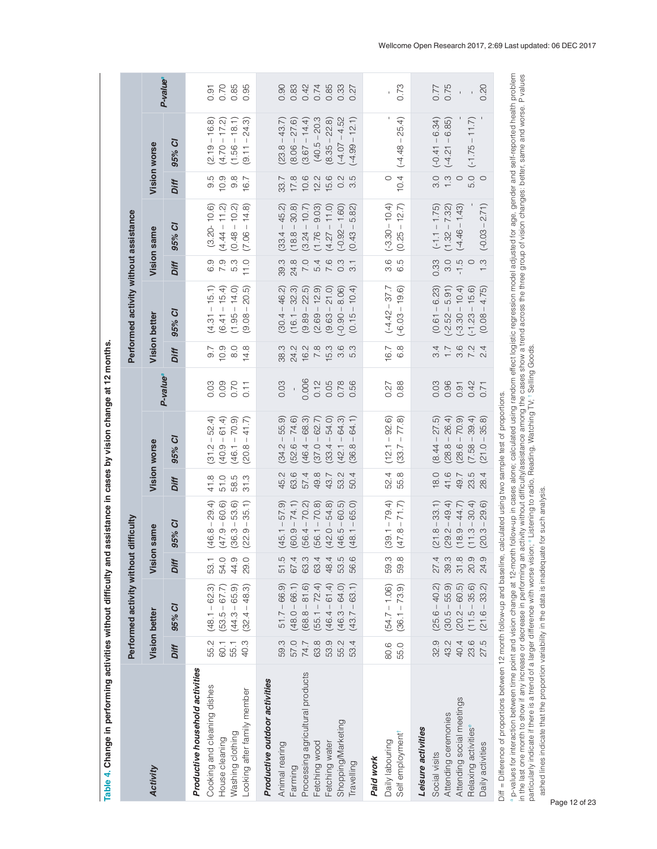Table 4. Change in performing activities without difficulty and assistance in cases by vision change at 12 months. **Table 4. Change in performing activities without difficulty and assistance in cases by vision change at 12 months.**

<span id="page-11-0"></span>

| $\mathbb{I}$<br>95% CI<br><b>Vision better</b><br>(9.08)<br>10.9<br>8.0<br>14.8<br>38.3<br>24.2<br>16.2<br>9.7<br>Diff<br>P-value <sup>®</sup><br>0.006<br>0.12<br>0.03<br>0.09<br>0.70<br>0.03<br>0.11<br>$-55.9$<br>$(52.6 - 74.6)$<br>$(46.4 - 68.3)$<br>$-52.4$<br>61.4)<br>$(46.1 - 70.9)$<br>41.7)<br>95% Cl<br>$(40.9 -$<br>$\mathbb T$<br>Vision worse<br>(34.2)<br>$(31.2 -$<br>(20.8)<br>45.2<br>63.6<br>57.4<br>58.5<br>41.8<br>51.0<br>31.3<br>Diff<br>$(46.8 - 29.4)$<br>35.1)<br>$(47.9 - 60.6)$<br>$(36.3 - 53.6)$<br>$(45.1 - 57.9)$<br>$(60.9 - 74.1)$<br>70.2)<br>$(22.9 - 3)$<br>$(56.4 -$<br>95% CI<br>same<br>(56.1)<br>$\epsilon$<br>Visior<br>67.4<br>63.3<br>63.4<br>44.9<br>29.0<br>51.5<br>54.0<br>53.1<br>Diff<br>$51.7 - 66.9$<br>$(48.0 - 66.1)$<br>$(68.8 - 81.6)$<br>$(55.1 - 72.4)$<br>$(48.1 - 62.3)$<br>$(44.3 - 65.9)$<br>$(32.4 - 48.3)$<br>$(53.5 - 67.7)$<br>95% CI<br>Vision better<br>55.1<br>60.1<br>55.2<br>59.3<br>40.3<br>57.0<br>63.8<br>74.7<br>Diff<br>Productive household activities<br>Processing agricultural products<br>Productive outdoor activities<br>Cooking and cleaning dishes<br>Looking after family member<br>Washing clothing<br>House cleaning<br>Animal rearing<br>Fetching wood<br>Activity<br>Farming | difficulty                         |    | Performed activity without assistance                                                                                   |                                                                                                                                                                                                                         |                                                                                                                                                                                                                           |                                                    |
|--------------------------------------------------------------------------------------------------------------------------------------------------------------------------------------------------------------------------------------------------------------------------------------------------------------------------------------------------------------------------------------------------------------------------------------------------------------------------------------------------------------------------------------------------------------------------------------------------------------------------------------------------------------------------------------------------------------------------------------------------------------------------------------------------------------------------------------------------------------------------------------------------------------------------------------------------------------------------------------------------------------------------------------------------------------------------------------------------------------------------------------------------------------------------------------------------------------------------------------------------------------------------|------------------------------------|----|-------------------------------------------------------------------------------------------------------------------------|-------------------------------------------------------------------------------------------------------------------------------------------------------------------------------------------------------------------------|---------------------------------------------------------------------------------------------------------------------------------------------------------------------------------------------------------------------------|----------------------------------------------------|
|                                                                                                                                                                                                                                                                                                                                                                                                                                                                                                                                                                                                                                                                                                                                                                                                                                                                                                                                                                                                                                                                                                                                                                                                                                                                          |                                    |    |                                                                                                                         | Vision same                                                                                                                                                                                                             | Vision worse                                                                                                                                                                                                              |                                                    |
|                                                                                                                                                                                                                                                                                                                                                                                                                                                                                                                                                                                                                                                                                                                                                                                                                                                                                                                                                                                                                                                                                                                                                                                                                                                                          |                                    |    |                                                                                                                         | 95% Cl<br>Diff                                                                                                                                                                                                          | 95% Cl<br>Diff                                                                                                                                                                                                            | P-value <sup>®</sup>                               |
|                                                                                                                                                                                                                                                                                                                                                                                                                                                                                                                                                                                                                                                                                                                                                                                                                                                                                                                                                                                                                                                                                                                                                                                                                                                                          |                                    |    | $(4.31 - 15.1)$<br>$(1.95 - 14.0)$<br>$(6.41 - 15.4)$<br>20.5)                                                          | $(3.20 - 10.6)$<br>$(4.44 - 11.2)$<br>$(0.48 - 10.2)$<br>$(7.06 - 14.8)$<br>6.9<br>7.9<br>5.3<br>11.0                                                                                                                   | $(1.56 - 18.1)$<br>$(2.19 - 16.8)$<br>$(4.70 - 17.2)$<br>24.3)<br>$\mathsf I$<br>(9.11)<br>9.5<br>10.9<br>$\infty$<br>16.7<br>$\infty$                                                                                    | 0.85<br>0.70<br>95<br>0.91                         |
| $(0.15 -$<br>15.3<br>$\circ$<br>S<br>က<br>LO<br>0.05<br>0.78<br>0.56<br>$(33.4 - 54.0)$<br>$(42.1 - 64.3)$<br>64.1)<br>$\mathsf I$<br>(36.8)<br>53.2<br>43.7<br>50.4<br>$(42.0 - 54.8)$<br>$(46.5 - 60.5)$<br>$-65.0$<br>(48.1)<br>48.4<br>53.5<br>56.6<br>$(46.4 - 61.4)$<br>$(46.3 - 64.0)$<br>$(43.7 - 63.1)$<br>53.9<br>55.2<br>53.4<br>Shopping/Marketing<br>Fetching water<br>Travelling                                                                                                                                                                                                                                                                                                                                                                                                                                                                                                                                                                                                                                                                                                                                                                                                                                                                           | $(37.0 - 62.7)$<br>49.8<br>$-70.8$ | 78 | $(30.4 - 46.2)$<br>$(16.1 - 32.3)$<br>$(2.69 - 12.9)$<br>$(9.63 - 21.0)$<br>10.4<br>$(9.89 - 22.5)$<br>$(-0.90 - 8.06)$ | $(33.4 - 45.2)$<br>$(4.27 - 11.0)$<br>$(-0.92 - 1.60)$<br>$-5.82$<br>$(18.8 - 30.8)$<br>$(3.24 - 10.7)$<br>9.03)<br>$(1.76 - 3)$<br>(0.43)<br>39.3<br>24.8<br>7.0<br>5.4<br>7.6<br>$0.\overline{3}$<br>$\overline{3}$ . | $(40.5 - 20.3)$<br>$(-4.07 - 4.52)$<br>$(23.8 - 43.7)$<br>$(3.67 - 14.4)$<br>$(-4.99 - 12.1)$<br>$(8.06 - 27.6)$<br>$(8.35 - 22.8)$<br>15.6<br>10.6<br>12.2<br>$\mathcal{N}_{\mathcal{L}}$<br>5<br>17.8<br>33.7<br>Ö<br>က | 0.83<br>0.42<br>0.74<br>0.85<br>0.33<br>0.90<br>27 |
| 16.7<br>6.8<br>0.88<br>0.27<br>$(12.1 - 92.6)$<br>$-77.8$<br>(33.7)<br>52.4<br>55.8<br>$(39.1 - 79.4)$<br>$(47.8 - 71.7)$<br>59.3<br>59.8<br>$(54.7 - 1.06)$<br>$(36.1 - 73.9)$<br>80.6<br>55.0<br>Self employment<br>Daily labouring<br>Paid work                                                                                                                                                                                                                                                                                                                                                                                                                                                                                                                                                                                                                                                                                                                                                                                                                                                                                                                                                                                                                       |                                    |    | $(-4.42 - 37.7)$<br>$(-6.03 - 19.6)$                                                                                    | $(-3.30 - 10.4)$<br>$(0.25 - 12.7)$<br>3.6<br>6.5                                                                                                                                                                       | $-25.4$<br>$(-4.48 -$<br>10.4<br>$\circ$                                                                                                                                                                                  | 0.73                                               |
| (0.61)<br>3.4<br>3.200<br>2.4<br>$\overline{1}$ :<br>0.03<br>0.96<br>0.42<br>0.91<br>0.71<br>calculated using two sample test of proportions.<br>$(8.44 - 27.5)$<br>$(28.8 - 26.4)$<br>$(7.58 - 39.4)$<br>$(28.6 - 70.9)$<br>$-35.8$<br>$(21.0 -$<br>18.0<br>41.6<br>23.5<br>28.4<br>49.7<br>$(21.8 - 33.1)$<br>$-30.4$<br>$(29.2 - 49.4)$<br>$(18.9 - 44.7)$<br>29.6)<br>$(20.3 - 1)$<br>$(11.3 -$<br>Diff = Difference of proportions between 12 month follow-up and baseline.<br>20.9<br>27.4<br>39.3<br>31.8<br>24.9<br>$(25.6 - 40.2)$<br>$(21.6 - 33.2)$<br>$(20.2 - 60.5)$<br>$(11.5 - 35.6)$<br>$(30.5 - 55.9)$<br>32.9<br>43.2<br>40.4<br>23.6<br>27.5<br>Attending social meetings<br>Attending ceremonies<br>Relaxing activities<br>Leisure activities<br>Daily activities<br>Social visits                                                                                                                                                                                                                                                                                                                                                                                                                                                                   |                                    |    | $-6.23$<br>$(-1.23 - 15.6)$<br>$(-2.52 - 5.91)$<br>$(-3.30 - 10.4)$<br>$(0.08 - 4.75)$                                  | $(-0.03 - 2.71)$<br>$(-1.1 - 1.75)$<br>$(-4.46 - 1.43)$<br>$(1.32 - 7.32)$<br>0.33<br>$\frac{3}{2}$<br>3.0<br>$-1.5$<br>$\circ$                                                                                         | $(-0.41 - 6.34)$<br>$(-1.75 - 11.7)$<br>6.85)<br>$(-4.21 - 6)$<br>$\frac{0}{3}$<br>5.0<br>$\frac{3}{1}$<br>$\circ$<br>$\circ$                                                                                             | 0.75<br>0.77<br>0.20<br>Î,<br>$\mathbf{I}$         |

Diff = Difference of proportions between 12 month follow-up and baseline, calculated using two sample test of proportions. i<br>D

° p-values for interaction between time point and vision change at 12-month follow-up in cases alone; calculated using random effect logistic regression model adjusted for age, gender and self-reported health problem<br>in t p-values for interaction between time point and vision change at 12-month follow-up in cases alone; calculated using random effect logistic regression model adjusted for age, gender and self-reported health problem in the last one month to show if any increase or decrease in performing an activity without difficulty/assistance among the cases show a trend across the three group of vision changes: better, same and worse. P values particularly indicate if there is a trend of a larger difference with worse vision; e Listening to radio, Reading, Watching TV; † Selling Goods.

ashed lines indicate that the proportion variability in the data is inadequate for such analysis. ashed lines indicate that the proportion variability in the data is inadequate for such analysis.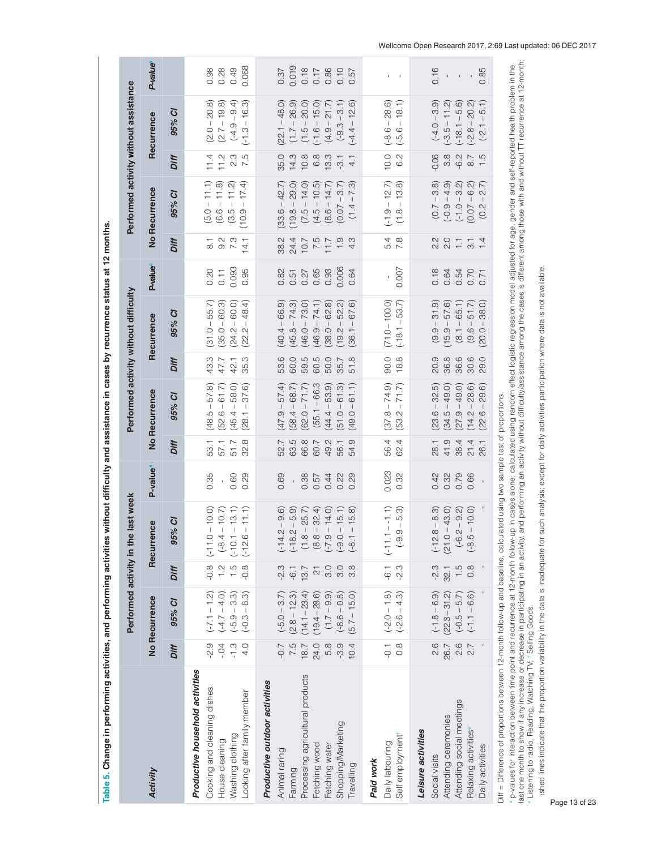Table 5. Change in performing activities, and performing activities without difficulty and assistance in cases by recurrence status at 12 months. **Table 5. Change in performing activities, and performing activities without difficulty and assistance in cases by recurrence status at 12 months.**

<span id="page-12-0"></span>

|                                                                                                                                                                      |                                                        |                                                                                                                           |                                                                           | Performed activity in the last week                                                                                                |                                                                    |                                                      |                                                                                                                                                |                                                            | Performed activity without difficulty                                                                                                        |                                                       |                                                                                       | Performed activity without assistance                                                                                             |                                                        |                                                                                                                                                    |                                                                       |
|----------------------------------------------------------------------------------------------------------------------------------------------------------------------|--------------------------------------------------------|---------------------------------------------------------------------------------------------------------------------------|---------------------------------------------------------------------------|------------------------------------------------------------------------------------------------------------------------------------|--------------------------------------------------------------------|------------------------------------------------------|------------------------------------------------------------------------------------------------------------------------------------------------|------------------------------------------------------------|----------------------------------------------------------------------------------------------------------------------------------------------|-------------------------------------------------------|---------------------------------------------------------------------------------------|-----------------------------------------------------------------------------------------------------------------------------------|--------------------------------------------------------|----------------------------------------------------------------------------------------------------------------------------------------------------|-----------------------------------------------------------------------|
| Activity                                                                                                                                                             |                                                        | <b>No Recurrence</b>                                                                                                      |                                                                           | ence<br>Recurr                                                                                                                     | P-value <sup>®</sup>                                               |                                                      | No Recurrence                                                                                                                                  |                                                            | Recurrence                                                                                                                                   | P-value <sup>a</sup>                                  |                                                                                       | No Recurrence                                                                                                                     |                                                        | Recurrence                                                                                                                                         | P-value <sup>®</sup>                                                  |
|                                                                                                                                                                      | Diff                                                   | 95% CI                                                                                                                    | Diff                                                                      | <b>12% CI</b><br>9                                                                                                                 |                                                                    | Diff                                                 | 95% Cl                                                                                                                                         | Diff                                                       | 95% CI                                                                                                                                       |                                                       | Diff                                                                                  | ō<br>95%                                                                                                                          | Diff                                                   | 95% CI                                                                                                                                             |                                                                       |
| Productive household activities<br>Cooking and cleaning dishes<br>Looking after family member<br>Washing clothing<br>House cleaning                                  | $-1.4$<br>$-1.0$<br>$-4.0$<br>$-2.9$                   | $(-7.1 - 1.2)$<br>$(-4.7 - 4.0)$<br>$(-0.3 - 8.3)$<br>$(-5.9 - 3.3)$                                                      | $-0.8$<br>$\begin{array}{c}\n 2 \\  -1 \\  \end{array}$<br>$-0.8$         | $(0.01 - 0.0)$<br>$(-8.4 - 10.7)$<br>$(-10.1 - 13.1)$<br>$-11.1)$<br>$\ddot{\circ}$<br>$ -11.$<br>$(-12)$                          | 0.35<br>0.29<br>0.60<br>Î.                                         | 32.8<br>51.7<br>57.1<br>53.1                         | 57.8)<br>61.7)<br>58.0)<br>37.6)<br>$(48.5 - 1)$<br>$(52.6 -$<br>$(45.4 -$<br>$(28.1 -$                                                        | 43.3<br>35.3<br>47.7<br>42.1                               | $(35.0 - 60.3)$<br>55.7)<br>$(24.2 - 60.0)$<br>48.4)<br>$\vert$<br>$(31.0 -$<br>(22.2)                                                       | 0.093<br>0.20<br>0.95<br>0.11                         | $\begin{array}{c} 7.76 \rightarrow 0.03 \\ 0.02 \rightarrow 0.03 \end{array}$<br>14.1 | $(5.0 - 11.1)$<br>$(6.6 - 11.8)$<br>$(3.5 - 11.2)$<br>$(10.9 - 17.4)$                                                             | 7.5<br>11.4<br>11.2<br>2.3                             | $(-1.3 - 16.3)$<br>$(2.0 - 20.8)$<br>$(2.7 - 19.8)$<br>च्<br>$\frac{1}{\sqrt{2}}$<br>$(-4.9 -$                                                     | 0.068<br>0.28<br>0.49<br>0.98                                         |
| Processing agricultural products<br>Productive outdoor activities<br>Shopping/Marketing<br>Fetching wood<br>Fetching water<br>Animal raring<br>Travelling<br>Farming | $-0.7$<br>7.5<br>24.0<br>18.7<br>5.8<br>$-3.9$<br>10.4 | $(19.4 - 28.6)$<br>$(-5.0 - 3.7)$<br>$(2.8 - 12.3)$<br>$(5.7 - 15.0)$<br>$(14.1 - 23.4)$<br>$(1.7 - 9.9)$<br>$-8.6 - 0.8$ | 3.0<br>3.8<br>$-2.3$<br>3.0<br>13.7<br>$-6.1$<br>$\overline{\mathcal{L}}$ | $(-18.2 - 5.9)$<br>$(1.8 - 25.7)$<br>$(8.8 - 32.4)$<br>$(-7.9 - 14.0)$<br>$(-9.0 - 15.1)$<br>$-9.6$<br>$(-8.1 - 15.8)$<br>$(-14.2$ | 0.22<br>0.69<br>0.38<br>0.44<br>0.29<br>0.57<br>$\hat{\mathbf{U}}$ | 63.5<br>66.8<br>54.9<br>52.7<br>49.2<br>60.7<br>56.1 | $(55.1 - 66.3)$<br>57.4)<br>$(58.4 - 68.7)$<br>$(62.0 - 71.7)$<br>53.9)<br>61.3)<br>61.1)<br>$-6.74$<br>$(44.4 -$<br>$(51.0 - 0)$<br>$(49.0 -$ | 53.6<br>LQ.<br>60.5<br>50.0<br>51.8<br>60.0<br>35.7<br>59. | $-66.9$<br>$-74.3)$<br>$(46.0 - 73.0)$<br>$(46.9 - 74.1)$<br>62.8)<br>52.2)<br>67.6)<br>$(38.0 - 6)$<br>(40.4)<br>(45.8)<br>(19.2)<br>(36.1) | 0.006<br>0.65<br>0.93<br>0.82<br>0.27<br>0.64<br>0.51 | 7.5<br>38.2<br>24.4<br>10.7<br>$\frac{0}{1}$<br>$4.\overline{3}$<br>11.7              | $(33.6 - 42.7)$<br>$(7.5 - 14.0)$<br>$(4.5 - 10.5)$<br>29.0)<br>$(8.6 - 14.7)$<br>$(0.07 - 3.7)$<br>$(1.4 - 7.3)$<br>$(19.8 - 2)$ | 14.3<br>35.0<br>10.8<br>$6.8$<br>13.3<br>$-3.1$<br>4.1 | $(22.1 - 48.0)$<br>$-3.1$ )<br>$-12.6$<br>26.9)<br>$(1.5 - 20.0)$<br>$(-1.6 - 15.0)$<br>21.7)<br>$(1.7 - 1)$<br>$(4.9 -$<br>$(-9.3 -$<br>$(-4.4 -$ | 0.019<br>0.18<br>0.86<br>0.10<br>0.17<br>0.37<br>0.57                 |
| Self employment<br>Daily labouring<br>Paid work                                                                                                                      | $\overline{Q}$<br>$0.\overline{8}$                     | $(-2.0 - 1.8)$<br>$(-2.6 - 4.3)$                                                                                          | $-6.1$<br>$-2.3$                                                          | $.1 - -1.1$<br>5.3)<br>$\overline{\phantom{a}}$<br><u>ာ</u><br>$\overline{9}$ .<br>$\overline{(-1)}$                               | 0.023<br>0.32                                                      | 56.4<br>62.4                                         | $(37.8 - 74.9)$<br>71.7)<br>$(53.2 -$                                                                                                          | 90.0<br>18.8                                               | $(71.0 - 100.0)$<br>$(-18.1 - 53.7)$                                                                                                         | 0.007                                                 | $\frac{5}{4}$ 8                                                                       | $(-1.9 - 12.7)$<br>$(1.8 - 13.8)$                                                                                                 | 10.0<br>Ņ<br>0                                         | $(-5.6 - 18.1)$<br>$(-8.6 - 28.6)$                                                                                                                 | $\Gamma_{\rm{eff}}=1$                                                 |
| Attending social meetings<br>Attending ceremonies<br>Leisure activities<br>Relaxing activities<br>Daily activities<br>Social visits                                  | 2.6<br>26.7<br>$2.6$<br>2.7                            | $(-1.8 - 6.9)$<br>$(-1.1 - 6.6)$<br>$(22.3 - 31.2)$<br>$(-0.5 - 5.7)$                                                     | $-2.3$<br>32.1<br>$1.5$<br>0.8                                            | $(-12.8 - 8.3)$<br>(21.0 – 43.0)<br>$-9.2$<br>$.5 - 10.0$<br>$(-6.2 - (-6.2 - (-6.5 - (-6.5))$                                     | 0.42<br>0.32<br>0.79<br>0.66<br>$\mathbf{u}$                       | 41.9<br>28.1<br>38.4<br>21.4<br>26.1                 | 49.0)<br>32.5)<br>49.0)<br>28.6)<br>29.6)<br>$(23.6 -$<br>$(34.5 -$<br>$(14.2 - 1)$<br>$(27.9 -$<br>$2.6 -$<br>$\widetilde{\mathcal{S}}$       | 20.9<br>36.8<br>36.6<br>30.6<br>29.0                       | $-31.9$<br>$-57.6$<br>$-65.1$<br>38.0)<br>$51.7$ )<br>$(9.6 -$<br>$\mathsf I$<br>$(15.9 -$<br>(9.9)<br>(8.1)<br>(20.0)                       | 0.18<br>0.54<br>0.70<br>0.64<br>0.71                  | $20077$<br>$2077$<br>1.4                                                              | $(0.7 - 3.8)$<br>$(-0.9 - 4.9)$<br>$(-1.0 - 3.2)$<br>$(0.07 - 6.2)$<br>$(0.2 - 2.7)$                                              | $-0.06$<br>3.8<br>$-6.2$<br>5<br>8.7<br>$\overline{ }$ | $(-4.0 - 3.9)$<br>$-5.6$<br>$-5.1$<br>$(-3.5 - 11.2)$<br>$(-2.8 - 20.2)$<br>$(-18.1)$<br>$(-2.1)$                                                  | 0.16<br>0.85<br>$\bar{\bar{1}}$<br>$\sim$<br>$\overline{\phantom{a}}$ |
| Diff = Difference of proportions between 12-month follow-up and baseline, calculated using two sample test of proportions.                                           |                                                        |                                                                                                                           |                                                                           |                                                                                                                                    |                                                                    |                                                      |                                                                                                                                                |                                                            |                                                                                                                                              |                                                       |                                                                                       |                                                                                                                                   |                                                        |                                                                                                                                                    |                                                                       |

Diff = Difference of proportions between 12-month follow-up and baseline, calculated using two sample test of proportions.

 $a = a$  p-values for interaction between time point and recurrence at 12-month follow-up in cases alone; calculated using random effect logistic regression model adjusted for age, gender and self-reported health problem in the ast one month to show if any increase or decrease in participating in an activity, and performing an activity without difficulty/assistance among the cases is different among those with and without TT recurrence at 12-mont Listening to radio, Reading, Watching TV; † Selling Goods.

ashed lines indicate that the proportion variability in the data is inadequate for such analysis; except for daily activities participation where data is not available. sshed lines indicate that the proportion variability in the data is inadequate for such analysis; except for daily activities participation where data is not available.

Page 13 of 23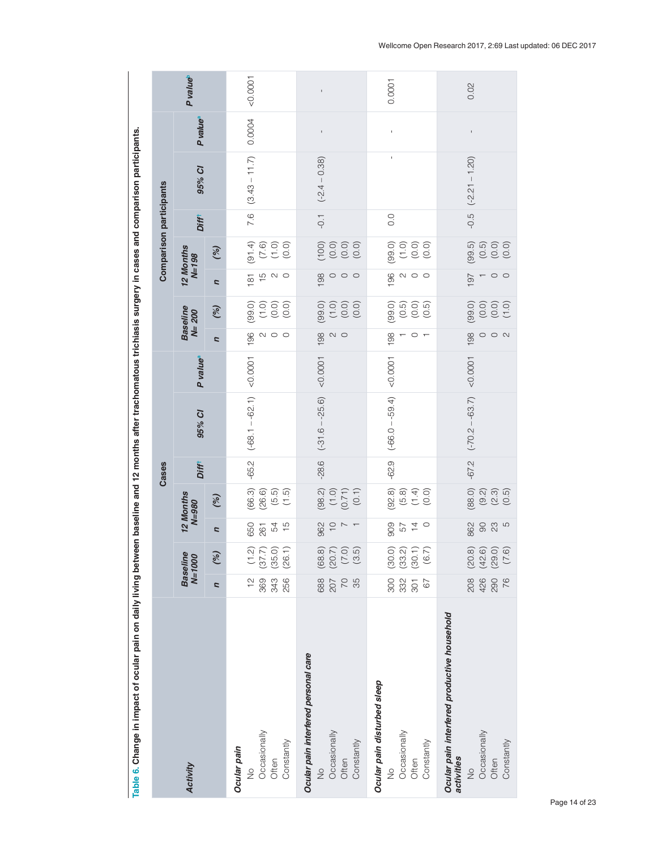<span id="page-13-0"></span>

| ally what is a proper constant the statement of the state of any constant is an analyzed to the state of the state of the state of the state of the state of the state of the state of the state of the state of the state of |                                    |                                                                                    |                                        |                                       |             |                   |                      |                                                |                                |                                        |                                |                         |                  |                      |                      |
|-------------------------------------------------------------------------------------------------------------------------------------------------------------------------------------------------------------------------------|------------------------------------|------------------------------------------------------------------------------------|----------------------------------------|---------------------------------------|-------------|-------------------|----------------------|------------------------------------------------|--------------------------------|----------------------------------------|--------------------------------|-------------------------|------------------|----------------------|----------------------|
|                                                                                                                                                                                                                               |                                    |                                                                                    |                                        |                                       | Cases       |                   |                      |                                                |                                |                                        | <b>Comparison participants</b> |                         |                  |                      |                      |
| Activity                                                                                                                                                                                                                      |                                    | Baseline<br>N=1000                                                                 |                                        | 12 Months<br>$N=980$                  | <b>Diff</b> | 95% CI            | P value <sup>®</sup> |                                                | <b>Baseline</b><br>$N = 200$   | 12 Months<br>$N = 198$                 |                                | <b>Diff<sup>+</sup></b> | 95% CI           | P value <sup>®</sup> | P value <sup>b</sup> |
|                                                                                                                                                                                                                               | n                                  | (%)                                                                                | n                                      | (%)                                   |             |                   |                      | $\overline{\phantom{a}}$                       | (%)                            | n                                      | (%)                            |                         |                  |                      |                      |
| Occasionally<br>Constantly<br>Ocular pain<br>Often<br>$\frac{1}{2}$                                                                                                                                                           | $\frac{1}{2}$<br>369<br>256<br>343 | $(1, 2)$<br>$(37, 7)$<br>$(35, 0)$<br>$(26, 1)$                                    | 650<br>$\frac{5}{1}$<br>54<br>261      | (66.3)<br>(26.6)<br>(5.5)<br>(1.5)    | $-65.2$     | $(-68.1 - 62.1)$  | < 0.0001             | 196<br>$\sim$ 0                                | (99.0)                         | 181<br>$\frac{5}{1}$<br>$\sim$ $\circ$ | (91.4)<br>$(0.0)$<br>$(0.7)$   | 7.6                     | $(3.43 - 11.7)$  | 0.0004               | 0.0001               |
| Ocular pain interfered personal care<br>Occasionally<br>Constantly<br>Often<br>$\frac{1}{2}$                                                                                                                                  | 688<br><b>PC 55</b><br>207         | $(68.8)$<br>$(20.7)$<br>$(7.0)$<br>$(3.5)$                                         | 962<br>$\supseteq$                     | (98.2)<br>$(1.0)$ (0.71) (0.71)       | $-28.6$     | $(-31.6 - -25.6)$ | 0.0001               | 198<br>$\sim$<br>$\circ$                       | (99.0)<br>$(1, 0)$<br>$(0, 0)$ | 198<br>$\circ$<br>$\circ$<br>$\circ$   | (100)                          | $\overline{C}$          | $(-2.4 - 0.38)$  | $\mathbf{I}$         | $\mathbf{I}$         |
| Ocular pain disturbed sleep<br>Occasionally<br>Constantly<br>Often<br>$\frac{1}{2}$                                                                                                                                           | 300<br>332<br>67<br>301            | $(30.0)$<br>$(33.2)$<br>$(30.1)$<br>$(6.7)$                                        | 909<br>$\circ$<br>57<br>$\overline{4}$ | (92.8)<br>(1.4)<br>(5.8)<br>(0.0)     | $-62.9$     | $(-66.0 - -59.4)$ | 50.0001              | 198<br>$\circ$                                 | (99.0)<br>(0.5)<br>(0.5)       | 196<br>$\sim$ 0                        | (99.0)                         | 0.0                     | $\mathbf{r}$     | $\mathbf{I}$         | 0.0001               |
| Ocular pain interfered productive household<br>Occasionally<br>Constantly<br>activities<br>Often<br>$\frac{1}{2}$                                                                                                             | 208<br>426<br>76<br>290            | $\begin{array}{c} (20.8) \\ (42.6) \\ (29.0) \\ (7.6) \end{array}$<br>(20)<br>(42) | 862<br>$\infty$<br>23<br>5             | (88.0)<br>$(2.3)$<br>$(0.5)$<br>(9.2) | $-67.2$     | $(-70.2 - -63.7)$ | < 0.0001             | 198<br>$\mathbf{\Omega}$<br>$\circ$<br>$\circ$ | (99.0)                         | 197<br>$\circ$<br>0                    | 69.5<br>(0.5)<br>(0.6)         | $-0.5$                  | $(-2.21 - 1.20)$ | I,                   | 0.02                 |

**Table 6. Change in impact of ocular pain on daily living between baseline and 12 months after trachomatous trichiasis surgery in cases and comparison participants.** aricon narticinante and comp **Cacac** change in impact of couldr noin on daily living basing packing and 12 months street trachometric surgers surger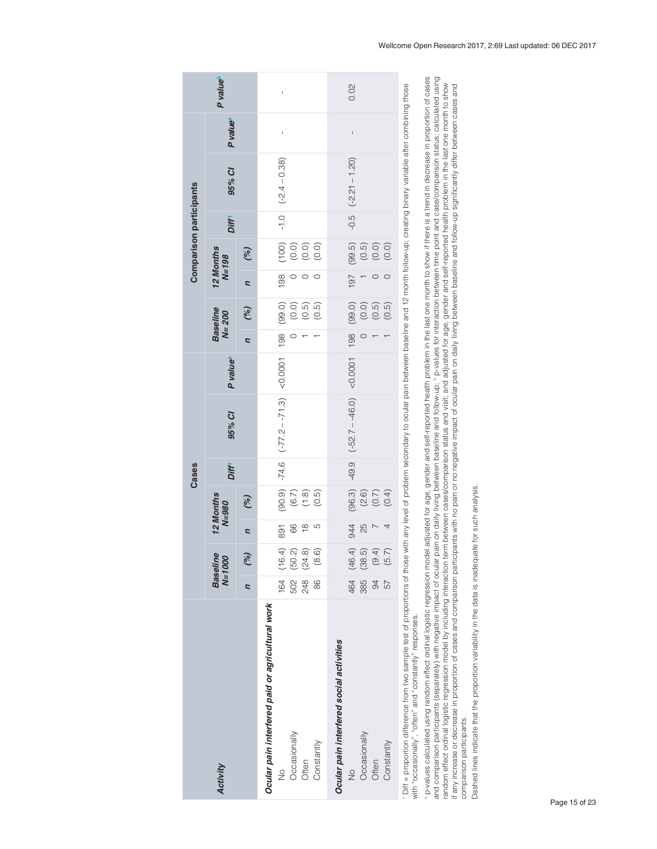<span id="page-14-0"></span>

|                                                                                                                                                                                                                                                                                  |                |                           |                         |                              | Cases       |                                  |         |                |                              |     | Comparison participants |                   |                         |                      |                      |
|----------------------------------------------------------------------------------------------------------------------------------------------------------------------------------------------------------------------------------------------------------------------------------|----------------|---------------------------|-------------------------|------------------------------|-------------|----------------------------------|---------|----------------|------------------------------|-----|-------------------------|-------------------|-------------------------|----------------------|----------------------|
| Activity                                                                                                                                                                                                                                                                         |                | Baseline<br>N=1000        |                         | <b>12 Months</b><br>$086$ =N | <b>Diff</b> | 95% CI                           | P value |                | <b>Baseline</b><br>$N = 200$ |     | 12 Months<br>$N = 198$  | Diff <sup>+</sup> | 95% CI                  | P value <sup>®</sup> | P value <sup>b</sup> |
|                                                                                                                                                                                                                                                                                  | n              | $\widetilde{\mathcal{C}}$ | n                       | (%)                          |             |                                  |         | $\overline{z}$ | (%)                          | U   | (%)                     |                   |                         |                      |                      |
| Ocular pain interfered paid or agricultural work                                                                                                                                                                                                                                 |                |                           |                         |                              |             |                                  |         |                |                              |     |                         |                   |                         |                      |                      |
| ž                                                                                                                                                                                                                                                                                |                | 164 (16.4)                | 891                     | (90.9)                       |             | $-74.6$ $(-77.2 - 71.3)$ <0.0001 |         |                | 198 (99.0)                   | 198 | (100)                   |                   | $-1.0$ $(-2.4 - 0.38)$  |                      |                      |
| Occasionally                                                                                                                                                                                                                                                                     |                | 502 (50.2)                | 89                      | (6.7)                        |             |                                  |         | $\circ$        | (0.0)                        |     | (0.0)                   |                   |                         |                      |                      |
| Often                                                                                                                                                                                                                                                                            |                | 248 (24.8)                | $\frac{\infty}{\infty}$ | (1.8)                        |             |                                  |         |                | (0.5)                        |     | $(0.0)$                 |                   |                         |                      |                      |
| Constantly                                                                                                                                                                                                                                                                       | 86             | (8.6)                     | 5                       | (0.5)                        |             |                                  |         |                | (0.5)                        |     | (0.0)                   |                   |                         |                      |                      |
| Ocular pain interfered social activities                                                                                                                                                                                                                                         |                |                           |                         |                              |             |                                  |         |                |                              |     |                         |                   |                         |                      |                      |
| $\frac{1}{2}$                                                                                                                                                                                                                                                                    |                | 464 (46.4)                | 944                     | (96.3)                       |             | $-49.9$ $(-52.7 - 46.0)$ <0.0001 |         |                | 198 (99.0)                   |     | 197 (99.5)              |                   | $-0.5$ $(-2.21 - 1.20)$ |                      | 0.02                 |
| Occasionally                                                                                                                                                                                                                                                                     |                | 385 (38.5)                |                         |                              |             |                                  |         |                | (0.0)                        |     | (0.5)                   |                   |                         |                      |                      |
| Often                                                                                                                                                                                                                                                                            | $\overline{6}$ | $\overline{4}$<br>$\odot$ |                         | $(0.7)$<br>$(0.7)$           |             |                                  |         |                | (0.5)                        |     |                         |                   |                         |                      |                      |
| Constantly                                                                                                                                                                                                                                                                       | 57             | $\overline{5}$ .          |                         |                              |             |                                  |         |                | (0.5)                        |     | (0.0)                   |                   |                         |                      |                      |
| Diff = proportion difference from two sample test of proportions of those with any level of problem secondary to ocular pain between baseline and 12 month follow-up; creating binary variable after combining those<br>with "occasionally", "often" and "constantly" responses. |                |                           |                         |                              |             |                                  |         |                |                              |     |                         |                   |                         |                      |                      |

a p-values calculated using random effect ordinal logistic regression model adjusted for age, gender and self-reported health problem in the last one month to show if there is a trend in decrease in proportion of cases and p-values calculated using random effect ordinal logistic regression model adjusted for age, gender and self-reported health problem in the last one month to show if there is a trend in decrease in proportion of cases and comparison participants (separately) with negative impact of ocular pain on daily living between baseline and follow-up; b p-values for interaction between time point and case/comparison status; calculated using random effect ordinal logistic regression model by including interaction term between cases/comparison status and visit; and adjusted for age, gender and self-reported health problem in the last one month to show if any increase or decrease in proportion of cases and comparison participants with no pain or no negative impact of ocular pain on daily living between baseline and follow-up significantly differ between cases and comparison participants.

Dashed lines indicate that the proportion variability in the data is inadequate for such analysis. Dashed lines indicate that the proportion variability in the data is inadequate for such analysis.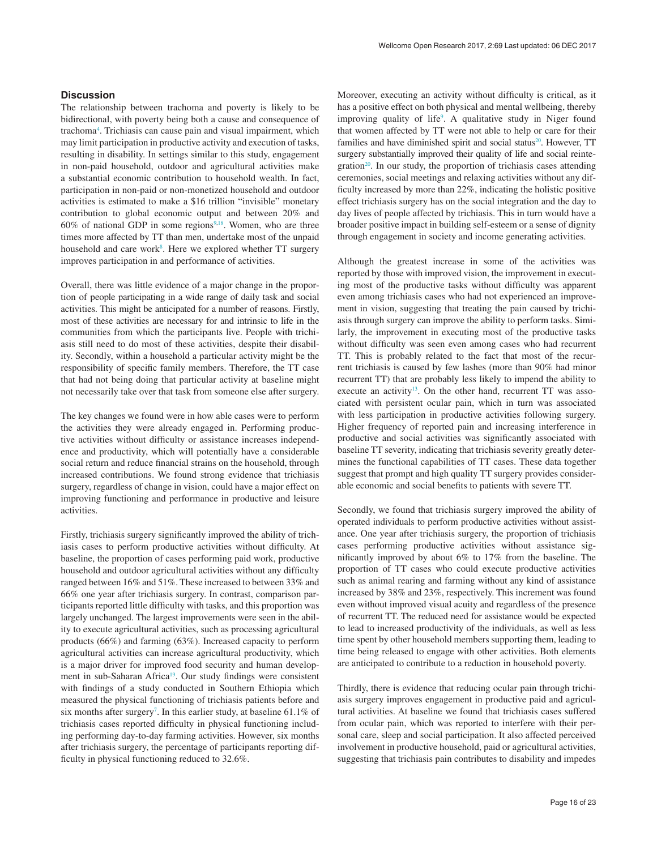## **Discussion**

The relationship between trachoma and poverty is likely to be bidirectional, with poverty being both a cause and consequence of trachom[a4](#page-16-0) . Trichiasis can cause pain and visual impairment, which may limit participation in productive activity and execution of tasks, resulting in disability. In settings similar to this study, engagement in non-paid household, outdoor and agricultural activities make a substantial economic contribution to household wealth. In fact, participation in non-paid or non-monetized household and outdoor activities is estimated to make a \$16 trillion "invisible" monetary contribution to global economic output and between 20% and 60% of national GDP in some regions<sup>9,18</sup>. Women, who are three times more affected by TT than men, undertake most of the unpaid household and care work<sup>[8](#page-16-0)</sup>. Here we explored whether TT surgery improves participation in and performance of activities.

Overall, there was little evidence of a major change in the proportion of people participating in a wide range of daily task and social activities. This might be anticipated for a number of reasons. Firstly, most of these activities are necessary for and intrinsic to life in the communities from which the participants live. People with trichiasis still need to do most of these activities, despite their disability. Secondly, within a household a particular activity might be the responsibility of specific family members. Therefore, the TT case that had not being doing that particular activity at baseline might not necessarily take over that task from someone else after surgery.

The key changes we found were in how able cases were to perform the activities they were already engaged in. Performing productive activities without difficulty or assistance increases independence and productivity, which will potentially have a considerable social return and reduce financial strains on the household, through increased contributions. We found strong evidence that trichiasis surgery, regardless of change in vision, could have a major effect on improving functioning and performance in productive and leisure activities.

Firstly, trichiasis surgery significantly improved the ability of trichiasis cases to perform productive activities without difficulty. At baseline, the proportion of cases performing paid work, productive household and outdoor agricultural activities without any difficulty ranged between 16% and 51%. These increased to between 33% and 66% one year after trichiasis surgery. In contrast, comparison participants reported little difficulty with tasks, and this proportion was largely unchanged. The largest improvements were seen in the ability to execute agricultural activities, such as processing agricultural products (66%) and farming (63%). Increased capacity to perform agricultural activities can increase agricultural productivity, which is a major driver for improved food security and human development in sub-Saharan Africa<sup>19</sup>. Our study findings were consistent with findings of a study conducted in Southern Ethiopia which measured the physical functioning of trichiasis patients before and six months after surgery<sup>[7](#page-16-0)</sup>. In this earlier study, at baseline  $61.1\%$  of trichiasis cases reported difficulty in physical functioning including performing day-to-day farming activities. However, six months after trichiasis surgery, the percentage of participants reporting difficulty in physical functioning reduced to 32.6%.

Moreover, executing an activity without difficulty is critical, as it has a positive effect on both physical and mental wellbeing, thereby improving quality of life<sup>[9](#page-16-0)</sup>. A qualitative study in Niger found that women affected by TT were not able to help or care for their families and have diminished spirit and social status<sup>20</sup>. However, TT surgery substantially improved their quality of life and social reintegration $20$ . In our study, the proportion of trichiasis cases attending ceremonies, social meetings and relaxing activities without any difficulty increased by more than 22%, indicating the holistic positive effect trichiasis surgery has on the social integration and the day to day lives of people affected by trichiasis. This in turn would have a broader positive impact in building self-esteem or a sense of dignity through engagement in society and income generating activities.

Although the greatest increase in some of the activities was reported by those with improved vision, the improvement in executing most of the productive tasks without difficulty was apparent even among trichiasis cases who had not experienced an improvement in vision, suggesting that treating the pain caused by trichiasis through surgery can improve the ability to perform tasks. Similarly, the improvement in executing most of the productive tasks without difficulty was seen even among cases who had recurrent TT. This is probably related to the fact that most of the recurrent trichiasis is caused by few lashes (more than 90% had minor recurrent TT) that are probably less likely to impend the ability to execute an activity<sup>13</sup>. On the other hand, recurrent TT was associated with persistent ocular pain, which in turn was associated with less participation in productive activities following surgery. Higher frequency of reported pain and increasing interference in productive and social activities was significantly associated with baseline TT severity, indicating that trichiasis severity greatly determines the functional capabilities of TT cases. These data together suggest that prompt and high quality TT surgery provides considerable economic and social benefits to patients with severe TT.

Secondly, we found that trichiasis surgery improved the ability of operated individuals to perform productive activities without assistance. One year after trichiasis surgery, the proportion of trichiasis cases performing productive activities without assistance significantly improved by about 6% to 17% from the baseline. The proportion of TT cases who could execute productive activities such as animal rearing and farming without any kind of assistance increased by 38% and 23%, respectively. This increment was found even without improved visual acuity and regardless of the presence of recurrent TT. The reduced need for assistance would be expected to lead to increased productivity of the individuals, as well as less time spent by other household members supporting them, leading to time being released to engage with other activities. Both elements are anticipated to contribute to a reduction in household poverty.

Thirdly, there is evidence that reducing ocular pain through trichiasis surgery improves engagement in productive paid and agricultural activities. At baseline we found that trichiasis cases suffered from ocular pain, which was reported to interfere with their personal care, sleep and social participation. It also affected perceived involvement in productive household, paid or agricultural activities, suggesting that trichiasis pain contributes to disability and impedes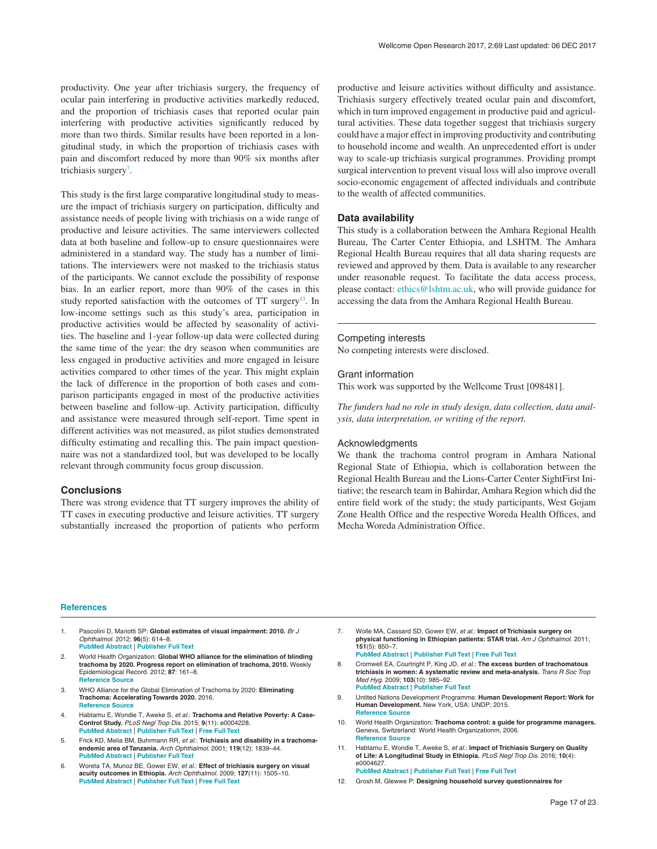<span id="page-16-0"></span>productivity. One year after trichiasis surgery, the frequency of ocular pain interfering in productive activities markedly reduced, and the proportion of trichiasis cases that reported ocular pain interfering with productive activities significantly reduced by more than two thirds. Similar results have been reported in a longitudinal study, in which the proportion of trichiasis cases with pain and discomfort reduced by more than 90% six months after trichiasis surgery<sup>7</sup>.

This study is the first large comparative longitudinal study to measure the impact of trichiasis surgery on participation, difficulty and assistance needs of people living with trichiasis on a wide range of productive and leisure activities. The same interviewers collected data at both baseline and follow-up to ensure questionnaires were administered in a standard way. The study has a number of limitations. The interviewers were not masked to the trichiasis status of the participants. We cannot exclude the possibility of response bias. In an earlier report, more than 90% of the cases in this study reported satisfaction with the outcomes of TT surgery<sup>13</sup>. In low-income settings such as this study's area, participation in productive activities would be affected by seasonality of activities. The baseline and 1-year follow-up data were collected during the same time of the year: the dry season when communities are less engaged in productive activities and more engaged in leisure activities compared to other times of the year. This might explain the lack of difference in the proportion of both cases and comparison participants engaged in most of the productive activities between baseline and follow-up. Activity participation, difficulty and assistance were measured through self-report. Time spent in different activities was not measured, as pilot studies demonstrated difficulty estimating and recalling this. The pain impact questionnaire was not a standardized tool, but was developed to be locally relevant through community focus group discussion.

#### **Conclusions**

There was strong evidence that TT surgery improves the ability of TT cases in executing productive and leisure activities. TT surgery substantially increased the proportion of patients who perform productive and leisure activities without difficulty and assistance. Trichiasis surgery effectively treated ocular pain and discomfort, which in turn improved engagement in productive paid and agricultural activities. These data together suggest that trichiasis surgery could have a major effect in improving productivity and contributing to household income and wealth. An unprecedented effort is under way to scale-up trichiasis surgical programmes. Providing prompt surgical intervention to prevent visual loss will also improve overall socio-economic engagement of affected individuals and contribute to the wealth of affected communities.

#### **Data availability**

This study is a collaboration between the Amhara Regional Health Bureau, The Carter Center Ethiopia, and LSHTM. The Amhara Regional Health Bureau requires that all data sharing requests are reviewed and approved by them. Data is available to any researcher under reasonable request. To facilitate the data access process, please contact: [ethics@lshtm.ac.uk](mailto:ethics@lshtm.ac.uk), who will provide guidance for accessing the data from the Amhara Regional Health Bureau.

#### Competing interests

No competing interests were disclosed.

#### Grant information

This work was supported by the Wellcome Trust [098481].

*The funders had no role in study design, data collection, data analysis, data interpretation, or writing of the report.*

#### Acknowledgments

We thank the trachoma control program in Amhara National Regional State of Ethiopia, which is collaboration between the Regional Health Bureau and the Lions-Carter Center SightFirst Initiative; the research team in Bahirdar, Amhara Region which did the entire field work of the study; the study participants, West Gojam Zone Health Office and the respective Woreda Health Offices, and Mecha Woreda Administration Office.

#### **References**

- 1. Pascolini D, Mariotti SP: **Global estimates of visual impairment: 2010.** *Br J Ophthalmol.* 2012; **96**(5): 614–8. **[PubMed Abstract](http://www.ncbi.nlm.nih.gov/pubmed/22133988)** | **[Publisher Full Text](http://dx.doi.org/10.1136/bjophthalmol-2011-300539)**
- 2. World Health Organization: **Global WHO alliance for the elimination of blinding trachoma by 2020. Progress report on elimination of trachoma, 2010.** Weekly Epidemiological Record. 2012; **87**: 161–8. **[Reference Source](http://www.who.int/trachoma/resources/who_wer8717/en/)**
- 3. WHO Alliance for the Global Elimination of Trachoma by 2020: **Eliminating Trachoma: Accelerating Towards 2020.** 2016. **[Reference Source](http://www.trachomacoalition.org/GET2020/)**
- 4. Habtamu E, Wondie T, Aweke S, *et al.*: **Trachoma and Relative Poverty: A Case-Control Study.** *PLoS Negl Trop Dis.* 2015; **9**(11): e0004228. **[PubMed Abstract](http://www.ncbi.nlm.nih.gov/pubmed/26600211)** | **[Publisher Full Text](http://dx.doi.org/10.1371/journal.pntd.0004228)** | **[Free Full Text](http://www.ncbi.nlm.nih.gov/pmc/articles/4657919)**
- 5. Frick KD, Melia BM, Buhrmann RR, *et al.*: **Trichiasis and disability in a trachomaendemic area of Tanzania.** *Arch Ophthalmol.* 2001; **119**(12): 1839–44. **[PubMed Abstract](http://www.ncbi.nlm.nih.gov/pubmed/11735797)** | **[Publisher Full Text](http://dx.doi.org/10.1001/archopht.119.12.1839)**
- 6. Woreta TA, Munoz BE, Gower EW, *et al.*: **Effect of trichiasis surgery on visual acuity outcomes in Ethiopia.** *Arch Ophthalmol.* 2009; **127**(11): 1505–10. **[PubMed Abstract](http://www.ncbi.nlm.nih.gov/pubmed/19901217)** | **[Publisher Full Text](http://dx.doi.org/10.1001/archophthalmol.2009.278)** | **[Free Full Text](http://www.ncbi.nlm.nih.gov/pmc/articles/4700533)**
- 7. Wolle MA, Cassard SD, Gower EW, *et al.*: **Impact of Trichiasis surgery on physical functioning in Ethiopian patients: STAR trial.** *Am J Ophthalmol.* 2011; **151**(5): 850–7. **[PubMed Abstract](http://www.ncbi.nlm.nih.gov/pubmed/21333268)** | **[Publisher Full Text](http://dx.doi.org/10.1016/j.ajo.2010.10.039)** | **[Free Full Text](http://www.ncbi.nlm.nih.gov/pmc/articles/3079795)**
- 8. Cromwell EA, Courtright P, King JD, *et al.*: **The excess burden of trachomatous trichiasis in women: A systematic review and meta-analysis.** *Trans R Soc Trop Med Hyg.* 2009; **103**(10): 985–92. **[PubMed Abstract](http://www.ncbi.nlm.nih.gov/pubmed/19362326)** | **[Publisher Full Text](http://dx.doi.org/10.1016/j.trstmh.2009.03.012)**
- 9. Untited Nations Development Programme: **Human Development Report: Work for Human Development.** New York, USA: UNDP; 2015. **[Reference Source](http://hdr.undp.org/sites/default/files/2015_human_development_report.pdf)**
- 10. World Health Organization: **Trachoma control: a guide for programme managers.** Geneva, Switzerland: World Health Organizationm, 2006. **[Reference Source](http://www.who.int/blindness/publications/tcm who_pbd_get_06_1.pdf)**
- 11. Habtamu E, Wondie T, Aweke S, *et al.*: **Impact of Trichiasis Surgery on Quality of Life: A Longitudinal Study in Ethiopia.** *PLoS Negl Trop Dis.* 2016; **10**(4): e0004627. **[PubMed Abstract](http://www.ncbi.nlm.nih.gov/pubmed/27078493)** | **[Publisher Full Text](http://dx.doi.org/10.1371/journal.pntd.0004627)** | **[Free Full Text](http://www.ncbi.nlm.nih.gov/pmc/articles/4831752)**
- 12. Grosh M, Glewwe P: **Designing household survey questionnaires for**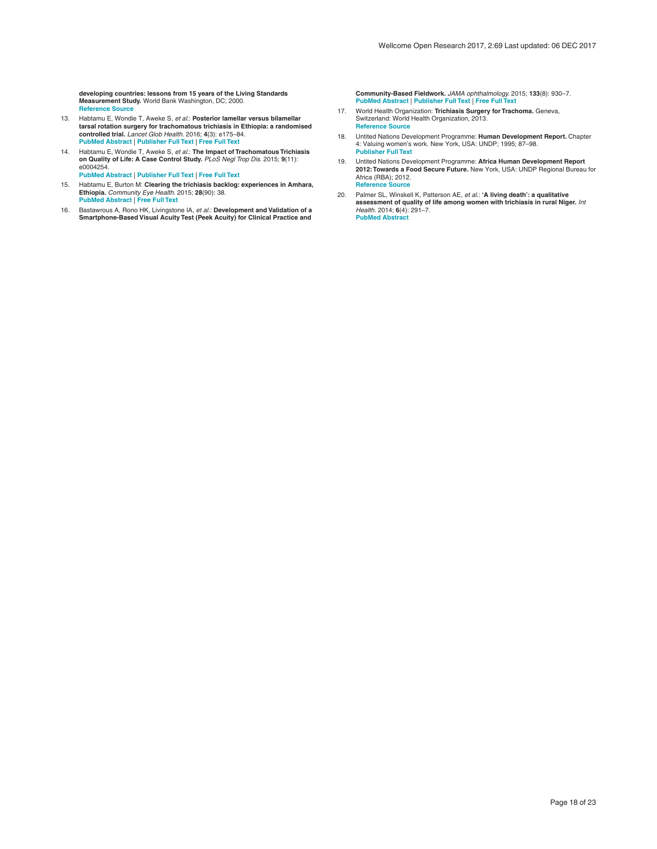<span id="page-17-0"></span>**developing countries: lessons from 15 years of the Living Standards Measurement Study.** World Bank Washington, DC; 2000. **[Reference Source](http://documents.worldbank.org/curated/en/452741468778781879/Volume-One)**

- 13. Habtamu E, Wondie T, Aweke S, *et al.*: **Posterior lamellar versus bilamellar tarsal rotation surgery for trachomatous trichiasis in Ethiopia: a randomised controlled trial.** *Lancet Glob Health.* 2016; **4**(3): e175–84. **[PubMed Abstract](http://www.ncbi.nlm.nih.gov/pubmed/26774708)** | **[Publisher Full Text](http://dx.doi.org/10.1016/S2214-109X(15)00299-5)** | **[Free Full Text](http://www.ncbi.nlm.nih.gov/pmc/articles/5075282)**
- 14. Habtamu E, Wondie T, Aweke S, *et al.*: **The Impact of Trachomatous Trichiasis on Quality of Life: A Case Control Study.** *PLoS Negl Trop Dis.* 2015; **9**(11): e0004254. **[PubMed Abstract](http://www.ncbi.nlm.nih.gov/pubmed/26598937)** | **[Publisher Full Text](http://dx.doi.org/10.1371/journal.pntd.0004254)** | **[Free Full Text](http://www.ncbi.nlm.nih.gov/pmc/articles/4657886)**
- 15. Habtamu E, Burton M: **Clearing the trichiasis backlog: experiences in Amhara, Ethiopia.** *Community Eye Health.* 2015; **28**(90): 38. **[PubMed Abstract](http://www.ncbi.nlm.nih.gov/pubmed/26692652)** | **[Free Full Text](http://www.ncbi.nlm.nih.gov/pmc/articles/4675267)**
- 16. Bastawrous A, Rono HK, Livingstone IA, *et al.*: **Development and Validation of a Smartphone-Based Visual Acuity Test (Peek Acuity) for Clinical Practice and**

**Community-Based Fieldwork.** *JAMA ophthalmology.* 2015; **133**(8): 930–7. **[PubMed Abstract](http://www.ncbi.nlm.nih.gov/pubmed/26022921)** | **[Publisher Full Text](http://dx.doi.org/10.1001/jamaophthalmol.2015.1468)** | **[Free Full Text](http://www.ncbi.nlm.nih.gov/pmc/articles/5321502)**

- 17. World Health Organization: **Trichiasis Surgery for Trachoma.** Geneva, Switzerland: World Health Organization, 2013. **[Reference Source](https://books.google.co.in/books?id=0bIXDAAAQBAJ&pg=PP3&lpg=PP3&dq=Trichiasis+Surgery+for+Trachoma.+Geneva,+Switzerland:+World+Health+Organization&source=bl&ots=9Z3C9y_nCc&sig=kFSHabcbfH-EcoRv4A5_mDS8tcA&hl=en&sa=X&ved=0ahUKEwjixI6h97XVAhXFrI8KHYGoCVwQ6AEISTAG#v=onepage&q=Trichiasis Surgery for Trachoma. Geneva, Switzerland: World Health Organization&f=false)**
- 18. Untited Nations Development Programme: **Human Development Report.** Chapter 4: Valuing women's work. New York, USA: UNDP; 1995; 87–98. **[Publisher Full Text](http://dx.doi.org/10.18356/17014fa3-en)**
- 19. Untited Nations Development Programme: **Africa Human Development Report 2012: Towards a Food Secure Future.** New York, USA: UNDP Regional Bureau for Africa (RBA); 2012. **[Reference Source](http://www.undp.org/content/dam/malawi/docs/general/Africa_HDR_EN_2012.pdf)**
- 20. Palmer SL, Winskell K, Patterson AE, *et al.*: **'A living death': a qualitative assessment of quality of life among women with trichiasis in rural Niger.** *Int Health.* 2014; **6**(4): 291–7. **[PubMed Abstract](http://www.ncbi.nlm.nih.gov/pubmed/25125577)**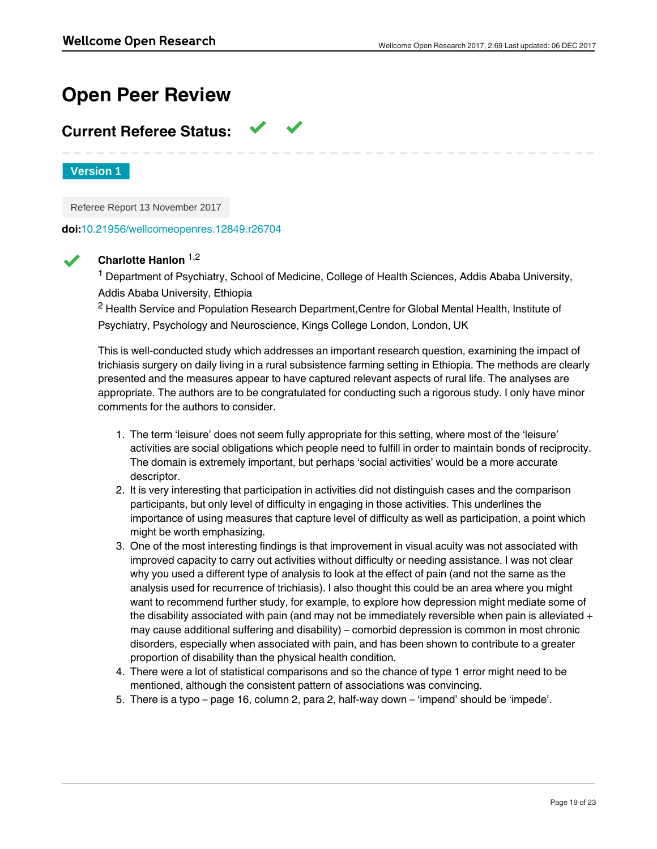# **Open Peer Review**

## **Current Referee Status:**

**Version 1**

Referee Report 13 November 2017

**doi:**[10.21956/wellcomeopenres.12849.r26704](http://dx.doi.org/10.21956/wellcomeopenres.12849.r26704)

## **Charlotte Hanlon** 1,2

<sup>1</sup> Department of Psychiatry, School of Medicine, College of Health Sciences, Addis Ababa University, Addis Ababa University, Ethiopia

 $2$  Health Service and Population Research Department, Centre for Global Mental Health, Institute of Psychiatry, Psychology and Neuroscience, Kings College London, London, UK

This is well-conducted study which addresses an important research question, examining the impact of trichiasis surgery on daily living in a rural subsistence farming setting in Ethiopia. The methods are clearly presented and the measures appear to have captured relevant aspects of rural life. The analyses are appropriate. The authors are to be congratulated for conducting such a rigorous study. I only have minor comments for the authors to consider.

- 1. The term 'leisure' does not seem fully appropriate for this setting, where most of the 'leisure' activities are social obligations which people need to fulfill in order to maintain bonds of reciprocity. The domain is extremely important, but perhaps 'social activities' would be a more accurate descriptor.
- 2. It is very interesting that participation in activities did not distinguish cases and the comparison participants, but only level of difficulty in engaging in those activities. This underlines the importance of using measures that capture level of difficulty as well as participation, a point which might be worth emphasizing.
- 3. One of the most interesting findings is that improvement in visual acuity was not associated with improved capacity to carry out activities without difficulty or needing assistance. I was not clear why you used a different type of analysis to look at the effect of pain (and not the same as the analysis used for recurrence of trichiasis). I also thought this could be an area where you might want to recommend further study, for example, to explore how depression might mediate some of the disability associated with pain (and may not be immediately reversible when pain is alleviated + may cause additional suffering and disability) – comorbid depression is common in most chronic disorders, especially when associated with pain, and has been shown to contribute to a greater proportion of disability than the physical health condition.
- 4. There were a lot of statistical comparisons and so the chance of type 1 error might need to be mentioned, although the consistent pattern of associations was convincing.
- 5. There is a typo page 16, column 2, para 2, half-way down 'impend' should be 'impede'.

**Is the work clearly and accurately presented and does it cite the current literature?**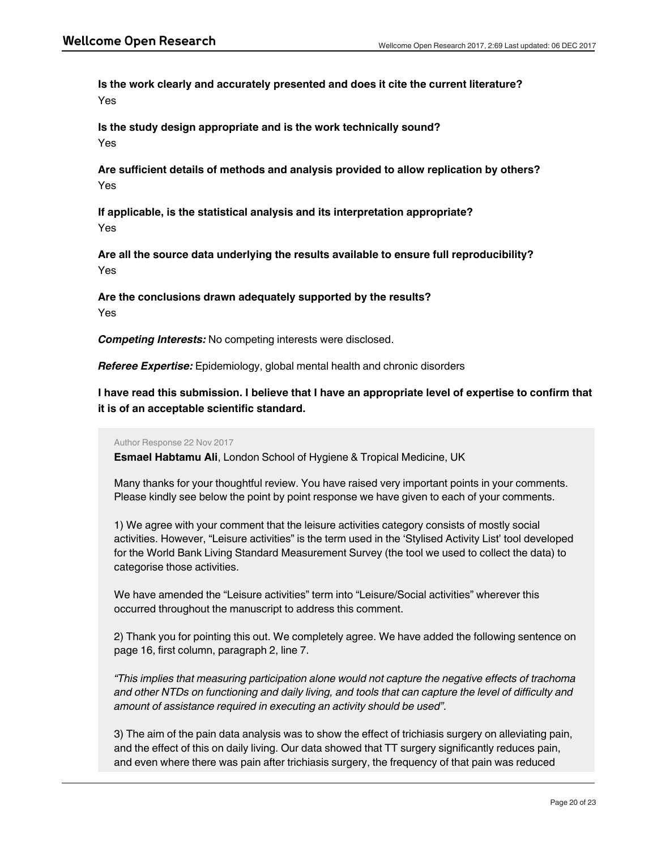**Is the work clearly and accurately presented and does it cite the current literature?** Yes

**Is the study design appropriate and is the work technically sound?** Yes

**Are sufficient details of methods and analysis provided to allow replication by others?** Yes

**If applicable, is the statistical analysis and its interpretation appropriate?** Yes

**Are all the source data underlying the results available to ensure full reproducibility?** Yes

**Are the conclusions drawn adequately supported by the results?** Yes

*Competing Interests:* No competing interests were disclosed.

*Referee Expertise:* Epidemiology, global mental health and chronic disorders

**I have read this submission. I believe that I have an appropriate level of expertise to confirm that it is of an acceptable scientific standard.**

## Author Response 22 Nov 2017

**Esmael Habtamu Ali**, London School of Hygiene & Tropical Medicine, UK

Many thanks for your thoughtful review. You have raised very important points in your comments. Please kindly see below the point by point response we have given to each of your comments.

1) We agree with your comment that the leisure activities category consists of mostly social activities. However, "Leisure activities" is the term used in the 'Stylised Activity List' tool developed for the World Bank Living Standard Measurement Survey (the tool we used to collect the data) to categorise those activities.

We have amended the "Leisure activities" term into "Leisure/Social activities" wherever this occurred throughout the manuscript to address this comment.

2) Thank you for pointing this out. We completely agree. We have added the following sentence on page 16, first column, paragraph 2, line 7.

*"This implies that measuring participation alone would not capture the negative effects of trachoma and other NTDs on functioning and daily living, and tools that can capture the level of difficulty and amount of assistance required in executing an activity should be used".* 

3) The aim of the pain data analysis was to show the effect of trichiasis surgery on alleviating pain, and the effect of this on daily living. Our data showed that TT surgery significantly reduces pain, and even where there was pain after trichiasis surgery, the frequency of that pain was reduced

significantly after trichiasis surgery, which in turn has a positive effect on sleep and participation in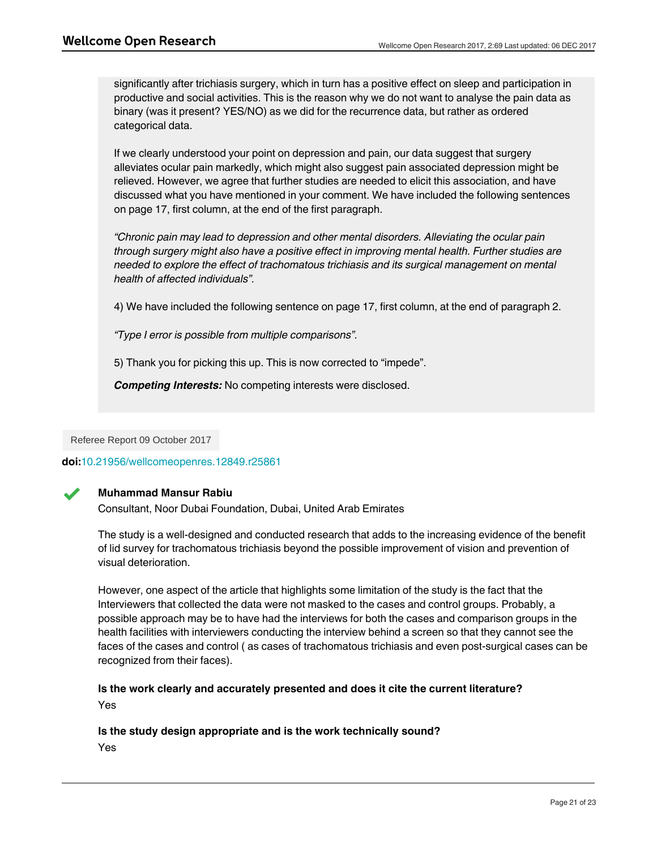significantly after trichiasis surgery, which in turn has a positive effect on sleep and participation in productive and social activities. This is the reason why we do not want to analyse the pain data as binary (was it present? YES/NO) as we did for the recurrence data, but rather as ordered categorical data.

If we clearly understood your point on depression and pain, our data suggest that surgery alleviates ocular pain markedly, which might also suggest pain associated depression might be relieved. However, we agree that further studies are needed to elicit this association, and have discussed what you have mentioned in your comment. We have included the following sentences on page 17, first column, at the end of the first paragraph.

*"Chronic pain may lead to depression and other mental disorders. Alleviating the ocular pain through surgery might also have a positive effect in improving mental health. Further studies are needed to explore the effect of trachomatous trichiasis and its surgical management on mental health of affected individuals".* 

4) We have included the following sentence on page 17, first column, at the end of paragraph 2.

*"Type I error is possible from multiple comparisons".* 

5) Thank you for picking this up. This is now corrected to "impede".

*Competing Interests:* No competing interests were disclosed.

Referee Report 09 October 2017

**doi:**[10.21956/wellcomeopenres.12849.r25861](http://dx.doi.org/10.21956/wellcomeopenres.12849.r25861)



## **Muhammad Mansur Rabiu**

Consultant, Noor Dubai Foundation, Dubai, United Arab Emirates

The study is a well-designed and conducted research that adds to the increasing evidence of the benefit of lid survey for trachomatous trichiasis beyond the possible improvement of vision and prevention of visual deterioration.

However, one aspect of the article that highlights some limitation of the study is the fact that the Interviewers that collected the data were not masked to the cases and control groups. Probably, a possible approach may be to have had the interviews for both the cases and comparison groups in the health facilities with interviewers conducting the interview behind a screen so that they cannot see the faces of the cases and control ( as cases of trachomatous trichiasis and even post-surgical cases can be recognized from their faces).

**Is the work clearly and accurately presented and does it cite the current literature?** Yes

**Are sufficient details of methods and analysis provided to allow replication by others?**

**Is the study design appropriate and is the work technically sound?** Yes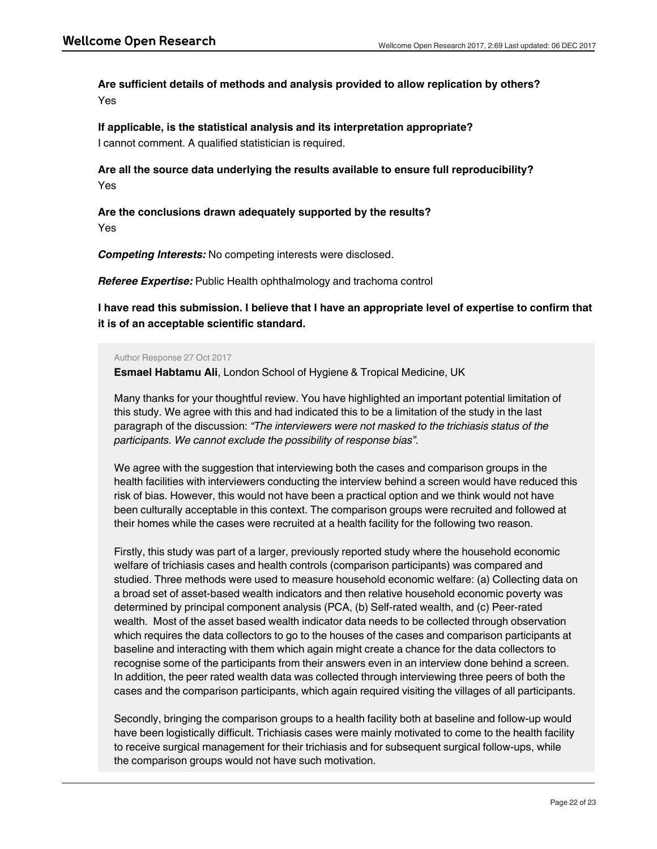**Are sufficient details of methods and analysis provided to allow replication by others?** Yes

**If applicable, is the statistical analysis and its interpretation appropriate?** I cannot comment. A qualified statistician is required.

**Are all the source data underlying the results available to ensure full reproducibility?** Yes

**Are the conclusions drawn adequately supported by the results?** Yes

*Competing Interests:* No competing interests were disclosed.

*Referee Expertise:* Public Health ophthalmology and trachoma control

**I have read this submission. I believe that I have an appropriate level of expertise to confirm that it is of an acceptable scientific standard.**

## Author Response 27 Oct 2017

**Esmael Habtamu Ali**, London School of Hygiene & Tropical Medicine, UK

Many thanks for your thoughtful review. You have highlighted an important potential limitation of this study. We agree with this and had indicated this to be a limitation of the study in the last paragraph of the discussion: *"The interviewers were not masked to the trichiasis status of the participants. We cannot exclude the possibility of response bias".*

We agree with the suggestion that interviewing both the cases and comparison groups in the health facilities with interviewers conducting the interview behind a screen would have reduced this risk of bias. However, this would not have been a practical option and we think would not have been culturally acceptable in this context. The comparison groups were recruited and followed at their homes while the cases were recruited at a health facility for the following two reason.

Firstly, this study was part of a larger, previously reported study where the household economic welfare of trichiasis cases and health controls (comparison participants) was compared and studied. Three methods were used to measure household economic welfare: (a) Collecting data on a broad set of asset-based wealth indicators and then relative household economic poverty was determined by principal component analysis (PCA, (b) Self-rated wealth, and (c) Peer-rated wealth. Most of the asset based wealth indicator data needs to be collected through observation which requires the data collectors to go to the houses of the cases and comparison participants at baseline and interacting with them which again might create a chance for the data collectors to recognise some of the participants from their answers even in an interview done behind a screen. In addition, the peer rated wealth data was collected through interviewing three peers of both the cases and the comparison participants, which again required visiting the villages of all participants.

Secondly, bringing the comparison groups to a health facility both at baseline and follow-up would have been logistically difficult. Trichiasis cases were mainly motivated to come to the health facility to receive surgical management for their trichiasis and for subsequent surgical follow-ups, while the comparison groups would not have such motivation.